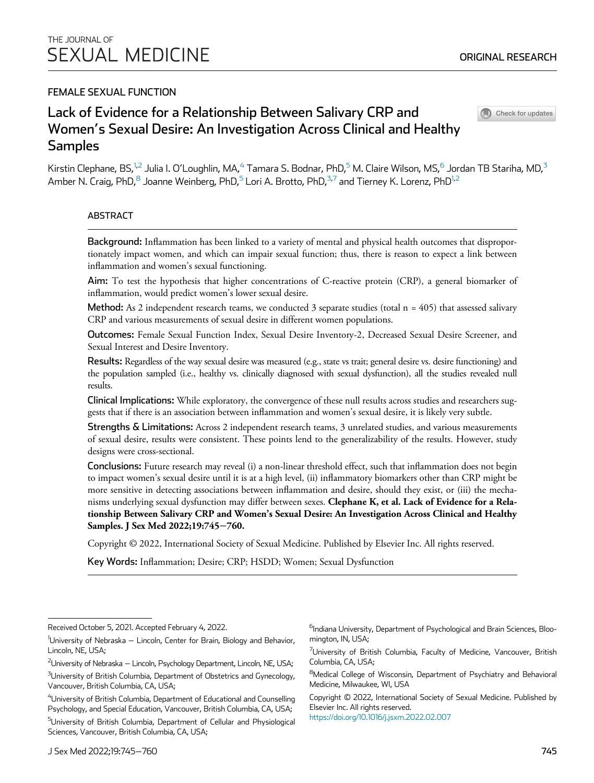# FEMALE SEXUAL FUNCTION

# Lack of Evidence for a Relationship Between Salivary CRP and Women's Sexual Desire: An Investigation Across Clinical and Healthy Samples



Check for updates

<span id="page-0-0"></span>Kirstin Clephane, BS,<sup>[1](#page-0-0),[2](#page-0-0)</sup> Julia I. O'Loughlin, MA,<sup>[4](#page-0-0)</sup> Tamara S. Bodnar, PhD,<sup>[5](#page-0-0)</sup> M. Claire Wilson, MS,<sup>[6](#page-0-0)</sup> Jordan TB Stariha, MD,<sup>[3](#page-0-0)</sup> Amber N. Craig, PhD, $8$  Joanne Weinberg, PhD, $5$  Lori A. Brotto, PhD, $37$  $37$  and Tierney K. Lorenz, PhD $1,2$ 

## ABSTRACT

Background: Inflammation has been linked to a variety of mental and physical health outcomes that disproportionately impact women, and which can impair sexual function; thus, there is reason to expect a link between inflammation and women's sexual functioning.

Aim: To test the hypothesis that higher concentrations of C-reactive protein (CRP), a general biomarker of inflammation, would predict women's lower sexual desire.

**Method:** As 2 independent research teams, we conducted 3 separate studies (total  $n = 405$ ) that assessed salivary CRP and various measurements of sexual desire in different women populations.

Outcomes: Female Sexual Function Index, Sexual Desire Inventory-2, Decreased Sexual Desire Screener, and Sexual Interest and Desire Inventory.

Results: Regardless of the way sexual desire was measured (e.g., state vs trait; general desire vs. desire functioning) and the population sampled (i.e., healthy vs. clinically diagnosed with sexual dysfunction), all the studies revealed null results.

Clinical Implications: While exploratory, the convergence of these null results across studies and researchers suggests that if there is an association between inflammation and women's sexual desire, it is likely very subtle.

Strengths & Limitations: Across 2 independent research teams, 3 unrelated studies, and various measurements of sexual desire, results were consistent. These points lend to the generalizability of the results. However, study designs were cross-sectional.

Conclusions: Future research may reveal (i) a non-linear threshold effect, such that inflammation does not begin to impact women's sexual desire until it is at a high level, (ii) inflammatory biomarkers other than CRP might be more sensitive in detecting associations between inflammation and desire, should they exist, or (iii) the mechanisms underlying sexual dysfunction may differ between sexes. Clephane K, et al. Lack of Evidence for a Relationship Between Salivary CRP and Women's Sexual Desire: An Investigation Across Clinical and Healthy Samples. J Sex Med 2022;19:745−760.

Copyright © 2022, International Society of Sexual Medicine. Published by Elsevier Inc. All rights reserved.

Key Words: Inflammation; Desire; CRP; HSDD; Women; Sexual Dysfunction

<sup>6</sup>Indiana University, Department of Psychological and Brain Sciences, Bloomington, IN, USA;

 $^7$ University of British Columbia, Faculty of Medicine, Vancouver, British Columbia, CA, USA;

<sup>8</sup>Medical College of Wisconsin, Department of Psychiatry and Behavioral Medicine, Milwaukee, WI, USA

Copyright © 2022, International Society of Sexual Medicine. Published by Elsevier Inc. All rights reserved.

[https://doi.org/10.1016/j.jsxm.2022.02.007](https://doi.org/)

Received October 5, 2021. Accepted February 4, 2022.

<sup>&</sup>lt;sup>1</sup>University of Nebraska – Lincoln, Center for Brain, Biology and Behavior, Lincoln, NE, USA;

<sup>&</sup>lt;sup>2</sup>University of Nebraska — Lincoln, Psychology Department, Lincoln, NE, USA;

 $^3$ University of British Columbia, Department of Obstetrics and Gynecology, Vancouver, British Columbia, CA, USA;

 $^4$ University of British Columbia, Department of Educational and Counselling Psychology, and Special Education, Vancouver, British Columbia, CA, USA; <sup>5</sup>University of British Columbia, Department of Cellular and Physiological Sciences, Vancouver, British Columbia, CA, USA;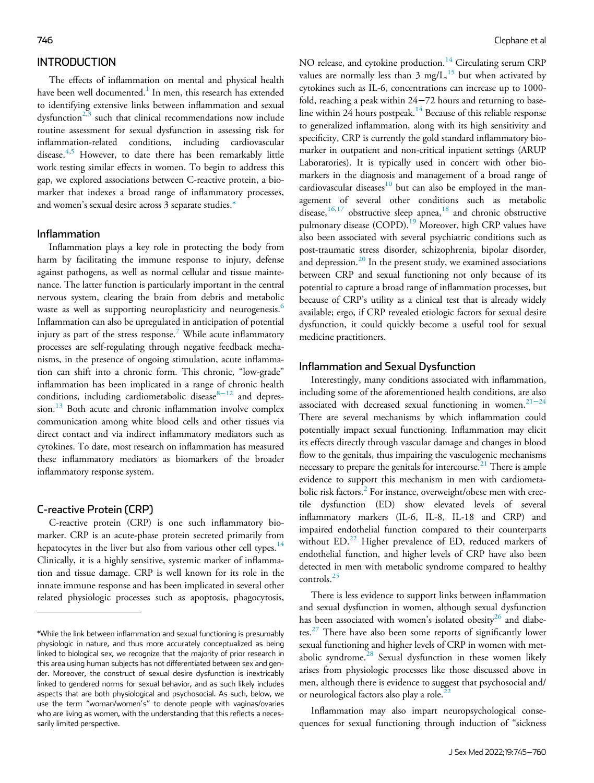# **INTRODUCTION**

The effects of inflammation on mental and physical health have been well documented.<sup>[1](#page-13-0)</sup> In men, this research has extended to identifying extensive links between inflammation and sexual dysfunction<sup>[2,](#page-13-1)[3](#page-13-2)</sup> such that clinical recommendations now include routine assessment for sexual dysfunction in assessing risk for inflammation-related conditions, including cardiovascular disease.<sup>[4](#page-13-3),[5](#page-13-4)</sup> However, to date there has been remarkably little work testing similar effects in women. To begin to address this gap, we explored associations between C-reactive protein, a biomarker that indexes a broad range of inflammatory processes, and women's sexual desire across 3 separate studies[.\\*](#page-1-0)

#### Inflammation

Inflammation plays a key role in protecting the body from harm by facilitating the immune response to injury, defense against pathogens, as well as normal cellular and tissue maintenance. The latter function is particularly important in the central nervous system, clearing the brain from debris and metabolic waste as well as supporting neuroplasticity and neurogenesis.<sup>[6](#page-13-5)</sup> Inflammation can also be upregulated in anticipation of potential injury as part of the stress response.<sup>[7](#page-13-6)</sup> While acute inflammatory processes are self-regulating through negative feedback mechanisms, in the presence of ongoing stimulation, acute inflammation can shift into a chronic form. This chronic, "low-grade" inflammation has been implicated in a range of chronic health conditions, including cardiometabolic disease $8-12$  $8-12$  and depres-sion.<sup>[13](#page-13-8)</sup> Both acute and chronic inflammation involve complex communication among white blood cells and other tissues via direct contact and via indirect inflammatory mediators such as cytokines. To date, most research on inflammation has measured these inflammatory mediators as biomarkers of the broader inflammatory response system.

## C-reactive Protein (CRP)

C-reactive protein (CRP) is one such inflammatory biomarker. CRP is an acute-phase protein secreted primarily from hepatocytes in the liver but also from various other cell types.<sup>[14](#page-13-9)</sup> Clinically, it is a highly sensitive, systemic marker of inflammation and tissue damage. CRP is well known for its role in the innate immune response and has been implicated in several other related physiologic processes such as apoptosis, phagocytosis, NO release, and cytokine production.<sup>[14](#page-13-9)</sup> Circulating serum CRP values are normally less than  $3 \text{ mg/L}^{15}$  $3 \text{ mg/L}^{15}$  $3 \text{ mg/L}^{15}$  but when activated by cytokines such as IL-6, concentrations can increase up to 1000 fold, reaching a peak within 24−72 hours and returning to base-line within 24 hours postpeak.<sup>[14](#page-13-9)</sup> Because of this reliable response to generalized inflammation, along with its high sensitivity and specificity, CRP is currently the gold standard inflammatory biomarker in outpatient and non-critical inpatient settings (ARUP Laboratories). It is typically used in concert with other biomarkers in the diagnosis and management of a broad range of cardiovascular diseases $10$  but can also be employed in the management of several other conditions such as metabolic disease, $16,17$  $16,17$  obstructive sleep apnea, $18$  and chronic obstructive pulmonary disease (COPD).<sup>[19](#page-13-15)</sup> Moreover, high CRP values have also been associated with several psychiatric conditions such as post-traumatic stress disorder, schizophrenia, bipolar disorder, and depression.<sup>[20](#page-13-16)</sup> In the present study, we examined associations between CRP and sexual functioning not only because of its potential to capture a broad range of inflammation processes, but because of CRP's utility as a clinical test that is already widely available; ergo, if CRP revealed etiologic factors for sexual desire dysfunction, it could quickly become a useful tool for sexual medicine practitioners.

## Inflammation and Sexual Dysfunction

Interestingly, many conditions associated with inflammation, including some of the aforementioned health conditions, are also associated with decreased sexual functioning in women.<sup>21-[24](#page-13-17)</sup> There are several mechanisms by which inflammation could potentially impact sexual functioning. Inflammation may elicit its effects directly through vascular damage and changes in blood flow to the genitals, thus impairing the vasculogenic mechanisms necessary to prepare the genitals for intercourse.<sup>[21](#page-13-17)</sup> There is ample evidence to support this mechanism in men with cardiometa-bolic risk factors.<sup>[2](#page-13-1)</sup> For instance, overweight/obese men with erectile dysfunction (ED) show elevated levels of several inflammatory markers (IL-6, IL-8, IL-18 and CRP) and impaired endothelial function compared to their counterparts without ED.<sup>[22](#page-13-18)</sup> Higher prevalence of ED, reduced markers of endothelial function, and higher levels of CRP have also been detected in men with metabolic syndrome compared to healthy controls.[25](#page-13-19)

There is less evidence to support links between inflammation and sexual dysfunction in women, although sexual dysfunction has been associated with women's isolated obesity<sup>[26](#page-13-20)</sup> and diabe-tes.<sup>[27](#page-13-21)</sup> There have also been some reports of significantly lower sexual functioning and higher levels of CRP in women with met-abolic syndrome.<sup>[28](#page-14-0)</sup> Sexual dysfunction in these women likely arises from physiologic processes like those discussed above in men, although there is evidence to suggest that psychosocial and/ or neurological factors also play a role.<sup>[22](#page-13-18)</sup>

Inflammation may also impart neuropsychological consequences for sexual functioning through induction of "sickness

<span id="page-1-0"></span><sup>\*</sup>While the link between inflammation and sexual functioning is presumably physiologic in nature, and thus more accurately conceptualized as being linked to biological sex, we recognize that the majority of prior research in this area using human subjects has not differentiated between sex and gender. Moreover, the construct of sexual desire dysfunction is inextricably linked to gendered norms for sexual behavior, and as such likely includes aspects that are both physiological and psychosocial. As such, below, we use the term "woman/women's" to denote people with vaginas/ovaries who are living as women, with the understanding that this reflects a necessarily limited perspective.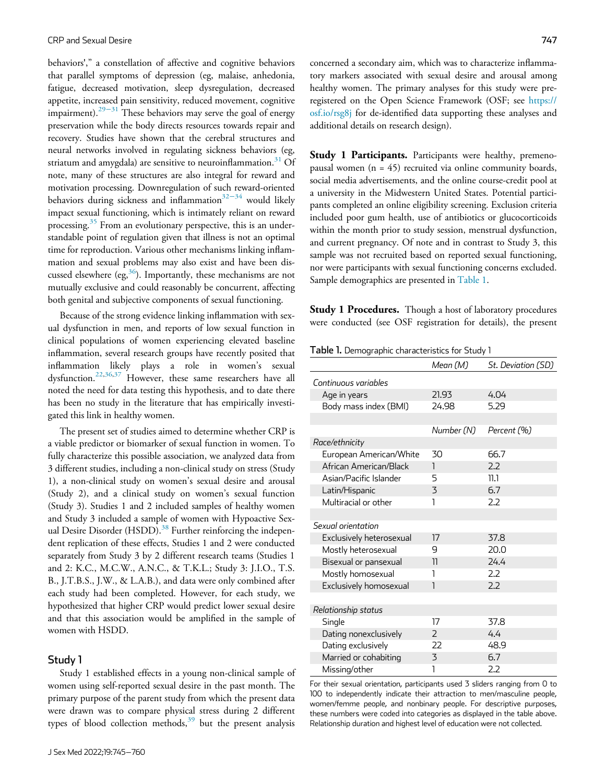behaviors'," a constellation of affective and cognitive behaviors that parallel symptoms of depression (eg, malaise, anhedonia, fatigue, decreased motivation, sleep dysregulation, decreased appetite, increased pain sensitivity, reduced movement, cognitive impairment).<sup>[29](#page-14-1)−31</sup> These behaviors may serve the goal of energy preservation while the body directs resources towards repair and recovery. Studies have shown that the cerebral structures and neural networks involved in regulating sickness behaviors (eg, striatum and amygdala) are sensitive to neuroinflammation.<sup>[31](#page-14-2)</sup> Of note, many of these structures are also integral for reward and motivation processing. Downregulation of such reward-oriented behaviors during sickness and inflammation<sup>[32](#page-14-3)−34</sup> would likely impact sexual functioning, which is intimately reliant on reward processing.<sup>[35](#page-14-4)</sup> From an evolutionary perspective, this is an understandable point of regulation given that illness is not an optimal time for reproduction. Various other mechanisms linking inflammation and sexual problems may also exist and have been discussed elsewhere (eg,  $36$ ). Importantly, these mechanisms are not mutually exclusive and could reasonably be concurrent, affecting both genital and subjective components of sexual functioning.

<span id="page-2-0"></span>Because of the strong evidence linking inflammation with sexual dysfunction in men, and reports of low sexual function in clinical populations of women experiencing elevated baseline inflammation, several research groups have recently posited that inflammation likely plays a role in women's sexual dysfunction.[22,](#page-13-18)[36](#page-14-5)[,37](#page-14-6) However, these same researchers have all noted the need for data testing this hypothesis, and to date there has been no study in the literature that has empirically investigated this link in healthy women.

The present set of studies aimed to determine whether CRP is a viable predictor or biomarker of sexual function in women. To fully characterize this possible association, we analyzed data from 3 different studies, including a non-clinical study on stress (Study 1), a non-clinical study on women's sexual desire and arousal (Study 2), and a clinical study on women's sexual function (Study 3). Studies 1 and 2 included samples of healthy women and Study 3 included a sample of women with Hypoactive Sexual Desire Disorder (HSDD).<sup>38</sup> Further reinforcing the independent replication of these effects, Studies 1 and 2 were conducted separately from Study 3 by 2 different research teams (Studies 1 and 2: K.C., M.C.W., A.N.C., & T.K.L.; Study 3: J.I.O., T.S. B., J.T.B.S., J.W., & L.A.B.), and data were only combined after each study had been completed. However, for each study, we hypothesized that higher CRP would predict lower sexual desire and that this association would be amplified in the sample of women with HSDD.

# Study 1

Study 1 established effects in a young non-clinical sample of women using self-reported sexual desire in the past month. The primary purpose of the parent study from which the present data were drawn was to compare physical stress during 2 different types of blood collection methods,  $39$  but the present analysis

concerned a secondary aim, which was to characterize inflammatory markers associated with sexual desire and arousal among healthy women. The primary analyses for this study were preregistered on the Open Science Framework (OSF; see [https://](https://osf.io/rsg8j) [osf.io/rsg8j](https://osf.io/rsg8j) for de-identified data supporting these analyses and additional details on research design).

**Study 1 Participants.** Participants were healthy, premenopausal women (n = 45) recruited via online community boards, social media advertisements, and the online course-credit pool at a university in the Midwestern United States. Potential participants completed an online eligibility screening. Exclusion criteria included poor gum health, use of antibiotics or glucocorticoids within the month prior to study session, menstrual dysfunction, and current pregnancy. Of note and in contrast to Study 3, this sample was not recruited based on reported sexual functioning, nor were participants with sexual functioning concerns excluded. Sample demographics are presented in [Table 1.](#page-2-0)

**Study 1 Procedures.** Though a host of laboratory procedures were conducted (see OSF registration for details), the present

Table 1. Demographic characteristics for Study 1

|                          | Mean (M)                 | St. Deviation (SD) |
|--------------------------|--------------------------|--------------------|
| Continuous variables     |                          |                    |
| Age in years             | 21.93                    | 4.04               |
| Body mass index (BMI)    | 24.98                    | 5.29               |
|                          |                          |                    |
|                          | Number (N)               | Percent (%)        |
| Race/ethnicity           |                          |                    |
| European American/White  | 30                       | 66.7               |
| African American/Black   | 1                        | 7.7                |
| Asian/Pacific Islander   | 5                        | 11.1               |
| Latin/Hispanic           | 3                        | 6.7                |
| Multiracial or other     | 1                        | 2.2                |
|                          |                          |                    |
| Sexual orientation       |                          |                    |
| Exclusively heterosexual | 17                       | 37.8               |
| Mostly heterosexual      | 9                        | 20.0               |
| Bisexual or pansexual    | 11                       | 24.4               |
| Mostly homosexual        | 1                        | 2.2                |
| Exclusively homosexual   | $\overline{\phantom{a}}$ | 2.2                |
|                          |                          |                    |
| Relationship status      |                          |                    |
| Single                   | 17                       | 37.8               |
| Dating nonexclusively    | $\mathcal{P}$            | 4.4                |
| Dating exclusively       | 22                       | 48.9               |
| Married or cohabiting    | 3                        | 6.7                |
| Missing/other            | 1                        | 2.2                |

For their sexual orientation, participants used 3 sliders ranging from 0 to 100 to independently indicate their attraction to men/masculine people, women/femme people, and nonbinary people. For descriptive purposes, these numbers were coded into categories as displayed in the table above. Relationship duration and highest level of education were not collected.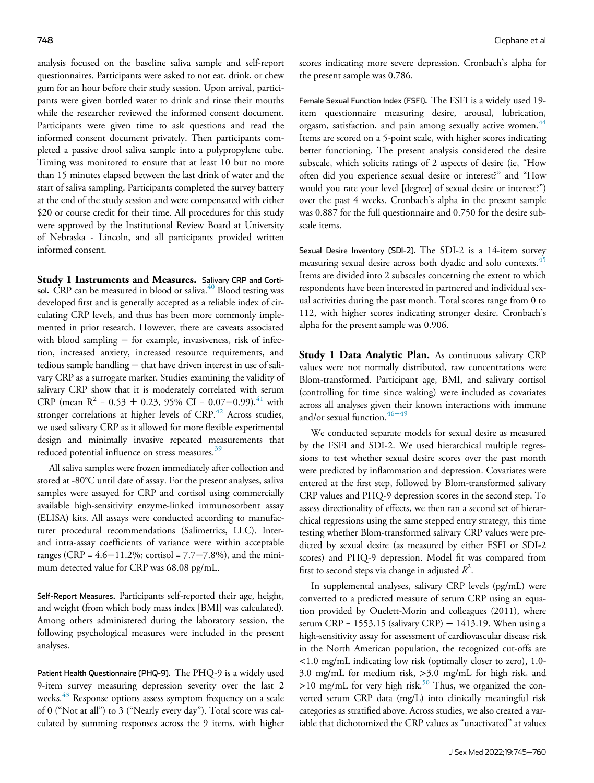analysis focused on the baseline saliva sample and self-report questionnaires. Participants were asked to not eat, drink, or chew gum for an hour before their study session. Upon arrival, participants were given bottled water to drink and rinse their mouths while the researcher reviewed the informed consent document. Participants were given time to ask questions and read the informed consent document privately. Then participants completed a passive drool saliva sample into a polypropylene tube. Timing was monitored to ensure that at least 10 but no more than 15 minutes elapsed between the last drink of water and the start of saliva sampling. Participants completed the survey battery at the end of the study session and were compensated with either \$20 or course credit for their time. All procedures for this study were approved by the Institutional Review Board at University of Nebraska - Lincoln, and all participants provided written informed consent.

Study 1 Instruments and Measures. Salivary CRP and Cortisol. CRP can be measured in blood or saliva. $40$  Blood testing was developed first and is generally accepted as a reliable index of circulating CRP levels, and thus has been more commonly implemented in prior research. However, there are caveats associated with blood sampling − for example, invasiveness, risk of infection, increased anxiety, increased resource requirements, and tedious sample handling − that have driven interest in use of salivary CRP as a surrogate marker. Studies examining the validity of salivary CRP show that it is moderately correlated with serum CRP (mean R<sup>2</sup> = 0.53 ± 0.23, 95% CI = 0.07–0.99),<sup>[41](#page-14-10)</sup> with stronger correlations at higher levels of  $CRP<sup>42</sup>$  $CRP<sup>42</sup>$  $CRP<sup>42</sup>$  Across studies, we used salivary CRP as it allowed for more flexible experimental design and minimally invasive repeated measurements that reduced potential influence on stress measures.<sup>[39](#page-14-8)</sup>

All saliva samples were frozen immediately after collection and stored at -80°C until date of assay. For the present analyses, saliva samples were assayed for CRP and cortisol using commercially available high-sensitivity enzyme-linked immunosorbent assay (ELISA) kits. All assays were conducted according to manufacturer procedural recommendations (Salimetrics, LLC). Interand intra-assay coefficients of variance were within acceptable ranges (CRP =  $4.6-11.2%$ ; cortisol =  $7.7-7.8%$ ), and the minimum detected value for CRP was 68.08 pg/mL.

Self-Report Measures. Participants self-reported their age, height, and weight (from which body mass index [BMI] was calculated). Among others administered during the laboratory session, the following psychological measures were included in the present analyses.

Patient Health Questionnaire (PHQ-9). The PHQ-9 is a widely used 9-item survey measuring depression severity over the last 2 weeks.<sup>[43](#page-14-12)</sup> Response options assess symptom frequency on a scale of 0 ("Not at all") to 3 ("Nearly every day"). Total score was calculated by summing responses across the 9 items, with higher scores indicating more severe depression. Cronbach's alpha for the present sample was 0.786.

Female Sexual Function Index (FSFI). The FSFI is a widely used 19 item questionnaire measuring desire, arousal, lubrication, orgasm, satisfaction, and pain among sexually active women.<sup>[44](#page-14-13)</sup> Items are scored on a 5-point scale, with higher scores indicating better functioning. The present analysis considered the desire subscale, which solicits ratings of 2 aspects of desire (ie, "How often did you experience sexual desire or interest?" and "How would you rate your level [degree] of sexual desire or interest?") over the past 4 weeks. Cronbach's alpha in the present sample was 0.887 for the full questionnaire and 0.750 for the desire subscale items.

Sexual Desire Inventory (SDI-2). The SDI-2 is a 14-item survey measuring sexual desire across both dyadic and solo contexts.<sup>[45](#page-14-14)</sup> Items are divided into 2 subscales concerning the extent to which respondents have been interested in partnered and individual sexual activities during the past month. Total scores range from 0 to 112, with higher scores indicating stronger desire. Cronbach's alpha for the present sample was 0.906.

Study 1 Data Analytic Plan. As continuous salivary CRP values were not normally distributed, raw concentrations were Blom-transformed. Participant age, BMI, and salivary cortisol (controlling for time since waking) were included as covariates across all analyses given their known interactions with immune and/or sexual function.<sup>46−49</sup>

We conducted separate models for sexual desire as measured by the FSFI and SDI-2. We used hierarchical multiple regressions to test whether sexual desire scores over the past month were predicted by inflammation and depression. Covariates were entered at the first step, followed by Blom-transformed salivary CRP values and PHQ-9 depression scores in the second step. To assess directionality of effects, we then ran a second set of hierarchical regressions using the same stepped entry strategy, this time testing whether Blom-transformed salivary CRP values were predicted by sexual desire (as measured by either FSFI or SDI-2 scores) and PHQ-9 depression. Model fit was compared from first to second steps via change in adjusted  $R^2$ .

In supplemental analyses, salivary CRP levels (pg/mL) were converted to a predicted measure of serum CRP using an equation provided by Ouelett-Morin and colleagues (2011), where serum CRP = 1553.15 (salivary CRP)  $-$  1413.19. When using a high-sensitivity assay for assessment of cardiovascular disease risk in the North American population, the recognized cut-offs are <1.0 mg/mL indicating low risk (optimally closer to zero), 1.0- 3.0 mg/mL for medium risk, >3.0 mg/mL for high risk, and  $>10$  mg/mL for very high risk.<sup>[50](#page-14-16)</sup> Thus, we organized the converted serum CRP data (mg/L) into clinically meaningful risk categories as stratified above. Across studies, we also created a variable that dichotomized the CRP values as "unactivated" at values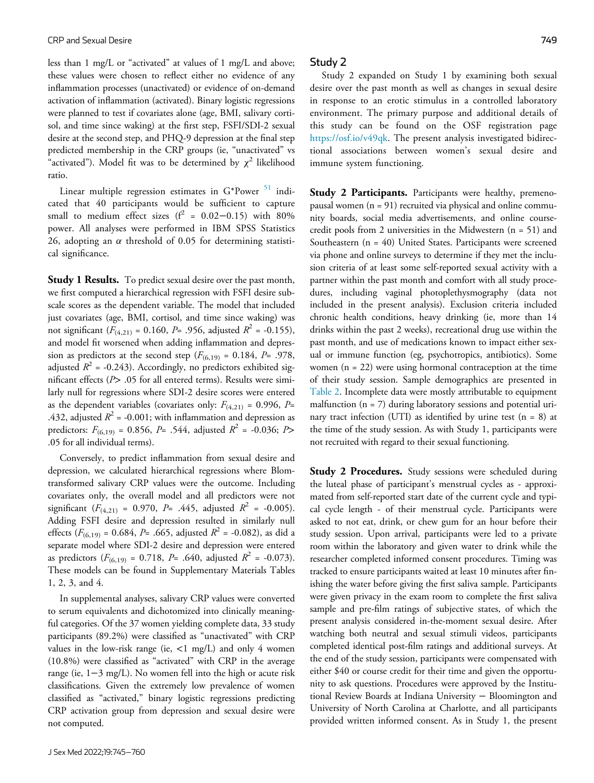less than 1 mg/L or "activated" at values of 1 mg/L and above; these values were chosen to reflect either no evidence of any inflammation processes (unactivated) or evidence of on-demand activation of inflammation (activated). Binary logistic regressions were planned to test if covariates alone (age, BMI, salivary cortisol, and time since waking) at the first step, FSFI/SDI-2 sexual desire at the second step, and PHQ-9 depression at the final step predicted membership in the CRP groups (ie, "unactivated" vs "activated"). Model fit was to be determined by  $\chi^2$  likelihood ratio.

Linear multiple regression estimates in  $G*Power$ <sup>[51](#page-14-17)</sup> indicated that 40 participants would be sufficient to capture small to medium effect sizes ( $f^2$  = 0.02−0.15) with 80% power. All analyses were performed in IBM SPSS Statistics 26, adopting an  $\alpha$  threshold of 0.05 for determining statistical significance.

**Study 1 Results.** To predict sexual desire over the past month, we first computed a hierarchical regression with FSFI desire subscale scores as the dependent variable. The model that included just covariates (age, BMI, cortisol, and time since waking) was not significant  $(F_{(4,21)} = 0.160, P = .956,$  adjusted  $R^2 = -0.155$ ), and model fit worsened when adding inflammation and depression as predictors at the second step ( $F_{(6,19)} = 0.184$ ,  $P = .978$ , adjusted  $R^2$  = -0.243). Accordingly, no predictors exhibited significant effects ( $P$ > .05 for all entered terms). Results were similarly null for regressions where SDI-2 desire scores were entered as the dependent variables (covariates only:  $F_{(4,21)} = 0.996$ ,  $P=$ .432, adjusted  $R^2$  = -0.001; with inflammation and depression as predictors:  $F_{(6,19)} = 0.856$ , P= .544, adjusted  $R^2 = -0.036$ ; P> .05 for all individual terms).

Conversely, to predict inflammation from sexual desire and depression, we calculated hierarchical regressions where Blomtransformed salivary CRP values were the outcome. Including covariates only, the overall model and all predictors were not significant ( $F_{(4,21)}$  = 0.970,  $P = .445$ , adjusted  $R^2$  = -0.005). Adding FSFI desire and depression resulted in similarly null effects ( $F_{(6,19)}$  = 0.684, P= .665, adjusted  $R^2$  = -0.082), as did a separate model where SDI-2 desire and depression were entered as predictors ( $F_{(6,19)} = 0.718$ ,  $P = .640$ , adjusted  $R^2 = -0.073$ ). These models can be found in Supplementary Materials Tables 1, 2, 3, and 4.

In supplemental analyses, salivary CRP values were converted to serum equivalents and dichotomized into clinically meaningful categories. Of the 37 women yielding complete data, 33 study participants (89.2%) were classified as "unactivated" with CRP values in the low-risk range (ie,  $\langle 1 \text{ mg/L} \rangle$  and only 4 women (10.8%) were classified as "activated" with CRP in the average range (ie, 1−3 mg/L). No women fell into the high or acute risk classifications. Given the extremely low prevalence of women classified as "activated," binary logistic regressions predicting CRP activation group from depression and sexual desire were not computed.

#### Study 2

Study 2 expanded on Study 1 by examining both sexual desire over the past month as well as changes in sexual desire in response to an erotic stimulus in a controlled laboratory environment. The primary purpose and additional details of this study can be found on the OSF registration page [https://osf.io/v49qk.](https://osf.io/v49qk) The present analysis investigated bidirectional associations between women's sexual desire and immune system functioning.

**Study 2 Participants.** Participants were healthy, premenopausal women (n = 91) recruited via physical and online community boards, social media advertisements, and online coursecredit pools from 2 universities in the Midwestern (n = 51) and Southeastern  $(n = 40)$  United States. Participants were screened via phone and online surveys to determine if they met the inclusion criteria of at least some self-reported sexual activity with a partner within the past month and comfort with all study procedures, including vaginal photoplethysmography (data not included in the present analysis). Exclusion criteria included chronic health conditions, heavy drinking (ie, more than 14 drinks within the past 2 weeks), recreational drug use within the past month, and use of medications known to impact either sexual or immune function (eg, psychotropics, antibiotics). Some women  $(n = 22)$  were using hormonal contraception at the time of their study session. Sample demographics are presented in [Table 2](#page-5-0). Incomplete data were mostly attributable to equipment malfunction  $(n = 7)$  during laboratory sessions and potential urinary tract infection (UTI) as identified by urine test  $(n = 8)$  at the time of the study session. As with Study 1, participants were not recruited with regard to their sexual functioning.

**Study 2 Procedures.** Study sessions were scheduled during the luteal phase of participant's menstrual cycles as - approximated from self-reported start date of the current cycle and typical cycle length - of their menstrual cycle. Participants were asked to not eat, drink, or chew gum for an hour before their study session. Upon arrival, participants were led to a private room within the laboratory and given water to drink while the researcher completed informed consent procedures. Timing was tracked to ensure participants waited at least 10 minutes after finishing the water before giving the first saliva sample. Participants were given privacy in the exam room to complete the first saliva sample and pre-film ratings of subjective states, of which the present analysis considered in-the-moment sexual desire. After watching both neutral and sexual stimuli videos, participants completed identical post-film ratings and additional surveys. At the end of the study session, participants were compensated with either \$40 or course credit for their time and given the opportunity to ask questions. Procedures were approved by the Institutional Review Boards at Indiana University − Bloomington and University of North Carolina at Charlotte, and all participants provided written informed consent. As in Study 1, the present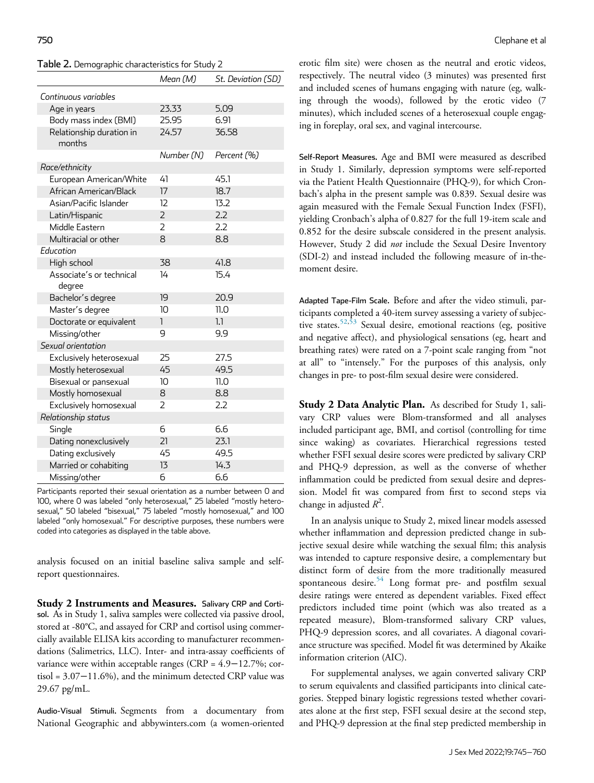<span id="page-5-0"></span>

| Table 2. Demographic characteristics for Study 2 |  |  |
|--------------------------------------------------|--|--|
|--------------------------------------------------|--|--|

|                                    | Mean (M)       | St. Deviation (SD) |
|------------------------------------|----------------|--------------------|
| Continuous variables               |                |                    |
| Age in years                       | 23.33          | 5.09               |
| Body mass index (BMI)              | 25.95          | 6.91               |
| Relationship duration in<br>months | 24.57          | 36.58              |
|                                    | Number (N)     | Percent (%)        |
| Race/ethnicity                     |                |                    |
| European American/White            | 41             | 45.1               |
| African American/Black             | 17             | 18.7               |
| Asian/Pacific Islander             | 12             | 13.2               |
| Latin/Hispanic                     | $\overline{2}$ | 2.2                |
| Middle Eastern                     | $\overline{2}$ | 2.2                |
| Multiracial or other               | 8              | 8.8                |
| Education                          |                |                    |
| High school                        | 38             | 41.8               |
| Associate's or technical<br>degree | 14             | 15.4               |
| Bachelor's degree                  | 19             | 20.9               |
| Master's degree                    | 10             | 11.0               |
| Doctorate or equivalent            | $\mathbf{I}$   | 1.1                |
| Missing/other                      | 9              | 9.9                |
| Sexual orientation                 |                |                    |
| Exclusively heterosexual           | 25             | 27.5               |
| Mostly heterosexual                | 45             | 49.5               |
| Bisexual or pansexual              | 10             | 11.0               |
| Mostly homosexual                  | 8              | 8.8                |
| Exclusively homosexual             | $\overline{2}$ | 2.2                |
| Relationship status                |                |                    |
| Single                             | 6              | 6.6                |
| Dating nonexclusively              | 21             | 23.1               |
| Dating exclusively                 | 45             | 49.5               |
| Married or cohabiting              | 13             | 14.3               |
| Missing/other                      | б              | 6.6                |

Participants reported their sexual orientation as a number between 0 and 100, where 0 was labeled "only heterosexual," 25 labeled "mostly heterosexual," 50 labeled "bisexual," 75 labeled "mostly homosexual," and 100 labeled "only homosexual." For descriptive purposes, these numbers were coded into categories as displayed in the table above.

analysis focused on an initial baseline saliva sample and selfreport questionnaires.

Study 2 Instruments and Measures. Salivary CRP and Cortisol. As in Study 1, saliva samples were collected via passive drool, stored at -80°C, and assayed for CRP and cortisol using commercially available ELISA kits according to manufacturer recommendations (Salimetrics, LLC). Inter- and intra-assay coefficients of variance were within acceptable ranges (CRP = 4.9−12.7%; cortisol = 3.07−11.6%), and the minimum detected CRP value was 29.67 pg/mL.

Audio-Visual Stimuli. Segments from a documentary from National Geographic and abbywinters.com (a women-oriented erotic film site) were chosen as the neutral and erotic videos, respectively. The neutral video (3 minutes) was presented first and included scenes of humans engaging with nature (eg, walking through the woods), followed by the erotic video (7 minutes), which included scenes of a heterosexual couple engaging in foreplay, oral sex, and vaginal intercourse.

Self-Report Measures. Age and BMI were measured as described in Study 1. Similarly, depression symptoms were self-reported via the Patient Health Questionnaire (PHQ-9), for which Cronbach's alpha in the present sample was 0.839. Sexual desire was again measured with the Female Sexual Function Index (FSFI), yielding Cronbach's alpha of 0.827 for the full 19-item scale and 0.852 for the desire subscale considered in the present analysis. However, Study 2 did not include the Sexual Desire Inventory (SDI-2) and instead included the following measure of in-themoment desire.

Adapted Tape-Film Scale. Before and after the video stimuli, participants completed a 40-item survey assessing a variety of subjec-tive states.<sup>[52](#page-14-18)[,53](#page-14-19)</sup> Sexual desire, emotional reactions (eg, positive and negative affect), and physiological sensations (eg, heart and breathing rates) were rated on a 7-point scale ranging from "not at all" to "intensely." For the purposes of this analysis, only changes in pre- to post-film sexual desire were considered.

**Study 2 Data Analytic Plan.** As described for Study 1, salivary CRP values were Blom-transformed and all analyses included participant age, BMI, and cortisol (controlling for time since waking) as covariates. Hierarchical regressions tested whether FSFI sexual desire scores were predicted by salivary CRP and PHQ-9 depression, as well as the converse of whether inflammation could be predicted from sexual desire and depression. Model fit was compared from first to second steps via change in adjusted  $R^2$ .

In an analysis unique to Study 2, mixed linear models assessed whether inflammation and depression predicted change in subjective sexual desire while watching the sexual film; this analysis was intended to capture responsive desire, a complementary but distinct form of desire from the more traditionally measured spontaneous desire. $54$  Long format pre- and postfilm sexual desire ratings were entered as dependent variables. Fixed effect predictors included time point (which was also treated as a repeated measure), Blom-transformed salivary CRP values, PHQ-9 depression scores, and all covariates. A diagonal covariance structure was specified. Model fit was determined by Akaike information criterion (AIC).

For supplemental analyses, we again converted salivary CRP to serum equivalents and classified participants into clinical categories. Stepped binary logistic regressions tested whether covariates alone at the first step, FSFI sexual desire at the second step, and PHQ-9 depression at the final step predicted membership in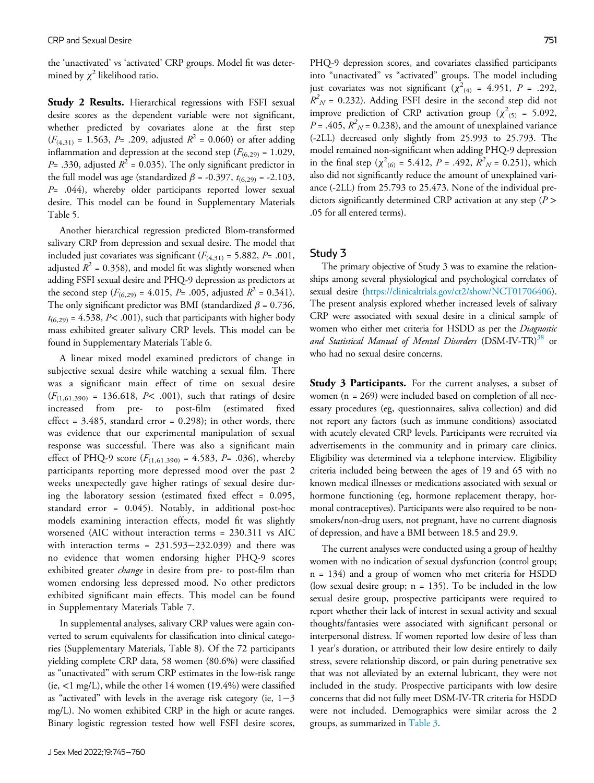the 'unactivated' vs 'activated' CRP groups. Model fit was determined by  $\chi^2$  likelihood ratio.

Study 2 Results. Hierarchical regressions with FSFI sexual desire scores as the dependent variable were not significant, whether predicted by covariates alone at the first step  $(F_{(4,31)} = 1.563, P = .209,$  adjusted  $R^2 = 0.060$  or after adding inflammation and depression at the second step ( $F_{(6,29)} = 1.029$ ,  $P=$  .330, adjusted  $R^2 = 0.035$ ). The only significant predictor in the full model was age (standardized  $\beta$  = -0.397,  $t_{(6,29)}$  = -2.103, P= .044), whereby older participants reported lower sexual desire. This model can be found in Supplementary Materials Table 5.

Another hierarchical regression predicted Blom-transformed salivary CRP from depression and sexual desire. The model that included just covariates was significant  $(F_{(4,31)} = 5.882, P = .001,$ adjusted  $R^2$  = 0.358), and model fit was slightly worsened when adding FSFI sexual desire and PHQ-9 depression as predictors at the second step ( $F_{(6,29)} = 4.015$ ,  $P = .005$ , adjusted  $R^2 = 0.341$ ). The only significant predictor was BMI (standardized  $\beta$  = 0.736,  $t_{(6,29)}$  = 4.538, P< .001), such that participants with higher body mass exhibited greater salivary CRP levels. This model can be found in Supplementary Materials Table 6.

A linear mixed model examined predictors of change in subjective sexual desire while watching a sexual film. There was a significant main effect of time on sexual desire  $(F_{(1,61.390)} = 136.618, P< .001)$ , such that ratings of desire increased from pre- to post-film (estimated fixed effect =  $3.485$ , standard error =  $0.298$ ); in other words, there was evidence that our experimental manipulation of sexual response was successful. There was also a significant main effect of PHQ-9 score  $(F_{(1,61.390)} = 4.583, P = .036)$ , whereby participants reporting more depressed mood over the past 2 weeks unexpectedly gave higher ratings of sexual desire during the laboratory session (estimated fixed effect = 0.095, standard error = 0.045). Notably, in additional post-hoc models examining interaction effects, model fit was slightly worsened (AIC without interaction terms = 230.311 vs AIC with interaction terms = 231.593−232.039) and there was no evidence that women endorsing higher PHQ-9 scores exhibited greater *change* in desire from pre- to post-film than women endorsing less depressed mood. No other predictors exhibited significant main effects. This model can be found in Supplementary Materials Table 7.

In supplemental analyses, salivary CRP values were again converted to serum equivalents for classification into clinical categories (Supplementary Materials, Table 8). Of the 72 participants yielding complete CRP data, 58 women (80.6%) were classified as "unactivated" with serum CRP estimates in the low-risk range (ie,  $\langle 1 \text{ mg/L} \rangle$ , while the other 14 women (19.4%) were classified as "activated" with levels in the average risk category (ie, 1−3 mg/L). No women exhibited CRP in the high or acute ranges. Binary logistic regression tested how well FSFI desire scores,

PHQ-9 depression scores, and covariates classified participants into "unactivated" vs "activated" groups. The model including just covariates was not significant  $(\chi^2_{(4)} = 4.951, P = .292,$  $R^2$ <sub>N</sub> = 0.232). Adding FSFI desire in the second step did not improve prediction of CRP activation group ( $\chi^2$ <sub>(5)</sub> = 5.092,  $P = .405$ ,  $R^2$ <sub>N</sub> = 0.238), and the amount of unexplained variance (-2LL) decreased only slightly from 25.993 to 25.793. The model remained non-significant when adding PHQ-9 depression in the final step ( $\chi^2$ <sub>(6)</sub> = 5.412, *P* = .492,  $\overline{R}^2$ <sub>*N*</sub> = 0.251), which also did not significantly reduce the amount of unexplained variance (-2LL) from 25.793 to 25.473. None of the individual predictors significantly determined CRP activation at any step ( $P$  > .05 for all entered terms).

## Study 3

The primary objective of Study 3 was to examine the relationships among several physiological and psychological correlates of sexual desire [\(https://clinicaltrials.gov/ct2/show/NCT01706406](https://clinicaltrials.gov/ct2/show/NCT01706406)). The present analysis explored whether increased levels of salivary CRP were associated with sexual desire in a clinical sample of women who either met criteria for HSDD as per the Diagnostic and Statistical Manual of Mental Disorders (DSM-IV-TR)<sup>38</sup> or who had no sexual desire concerns.

**Study 3 Participants.** For the current analyses, a subset of women (n = 269) were included based on completion of all necessary procedures (eg, questionnaires, saliva collection) and did not report any factors (such as immune conditions) associated with acutely elevated CRP levels. Participants were recruited via advertisements in the community and in primary care clinics. Eligibility was determined via a telephone interview. Eligibility criteria included being between the ages of 19 and 65 with no known medical illnesses or medications associated with sexual or hormone functioning (eg, hormone replacement therapy, hormonal contraceptives). Participants were also required to be nonsmokers/non-drug users, not pregnant, have no current diagnosis of depression, and have a BMI between 18.5 and 29.9.

The current analyses were conducted using a group of healthy women with no indication of sexual dysfunction (control group; n = 134) and a group of women who met criteria for HSDD (low sexual desire group; n = 135). To be included in the low sexual desire group, prospective participants were required to report whether their lack of interest in sexual activity and sexual thoughts/fantasies were associated with significant personal or interpersonal distress. If women reported low desire of less than 1 year's duration, or attributed their low desire entirely to daily stress, severe relationship discord, or pain during penetrative sex that was not alleviated by an external lubricant, they were not included in the study. Prospective participants with low desire concerns that did not fully meet DSM-IV-TR criteria for HSDD were not included. Demographics were similar across the 2 groups, as summarized in [Table 3.](#page-7-0)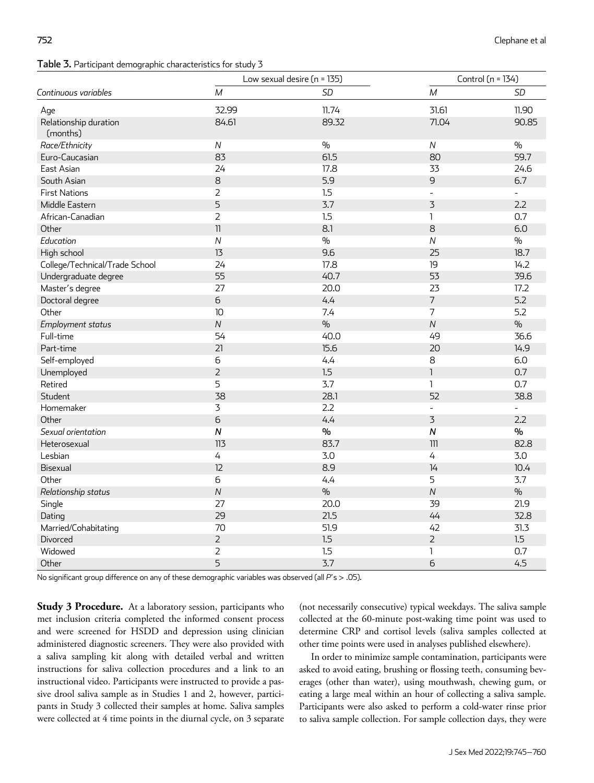## <span id="page-7-0"></span>Table 3. Participant demographic characteristics for study 3

|                                   | Low sexual desire (n = 135) |               | Control (n = 134) |                          |
|-----------------------------------|-----------------------------|---------------|-------------------|--------------------------|
| Continuous variables              | $\boldsymbol{M}$            | <b>SD</b>     | $\cal M$          | <b>SD</b>                |
| Age                               | 32.99                       | 11.74         | 31.61             | 11.90                    |
| Relationship duration<br>(months) | 84.61                       | 89.32         | 71.04             | 90.85                    |
| Race/Ethnicity                    | ${\cal N}$                  | $\frac{0}{0}$ | ${\cal N}$        | $\frac{0}{0}$            |
| Euro-Caucasian                    | 83                          | 61.5          | 80                | 59.7                     |
| East Asian                        | 24                          | 17.8          | 33                | 24.6                     |
| South Asian                       | 8                           | 5.9           | 9                 | 6.7                      |
| <b>First Nations</b>              | $\overline{2}$              | 1.5           |                   | $\overline{\phantom{0}}$ |
| Middle Eastern                    | 5                           | 3.7           | $\overline{3}$    | 2.2                      |
| African-Canadian                  | $\overline{2}$              | 1.5           | $\mathbf{I}$      | 0.7                      |
| Other                             | $\overline{\textbf{1}}$     | 8.1           | 8                 | 6.0                      |
| Education                         | $\overline{N}$              | $\frac{0}{0}$ | $\overline{N}$    | $\frac{1}{2}$            |
| High school                       | 13                          | 9.6           | 25                | 18.7                     |
| College/Technical/Trade School    | 24                          | 17.8          | 19                | 14.2                     |
| Undergraduate degree              | 55                          | 40.7          | 53                | 39.6                     |
| Master's degree                   | 27                          | 20.0          | 23                | 17.2                     |
| Doctoral degree                   | $\overline{6}$              | 4.4           | $\overline{7}$    | 5.2                      |
| Other                             | 10                          | 7.4           | $\overline{7}$    | 5.2                      |
| Employment status                 | ${\cal N}$                  | $\frac{0}{0}$ | ${\cal N}$        | $\%$                     |
| Full-time                         | 54                          | 40.0          | 49                | 36.6                     |
| Part-time                         | 21                          | 15.6          | 20                | 14.9                     |
| Self-employed                     | 6                           | 4.4           | 8                 | 6.0                      |
| Unemployed                        | $\overline{2}$              | 1.5           | $\overline{1}$    | 0.7                      |
| Retired                           | 5                           | 3.7           | $\mathbf{1}$      | 0.7                      |
| Student                           | 38                          | 28.1          | 52                | 38.8                     |
| Homemaker                         | 3                           | 2.2           |                   | $\overline{\phantom{a}}$ |
| Other                             | б                           | 4.4           | $\overline{3}$    | 2.2                      |
| Sexual orientation                | ${\sf N}$                   | $\frac{1}{2}$ | $\boldsymbol{N}$  | $\frac{0}{0}$            |
| Heterosexual                      | 113                         | 83.7          | 111               | 82.8                     |
| Lesbian                           | 4                           | 3.0           | 4                 | 3.0                      |
| Bisexual                          | 12                          | 8.9           | 14                | 10.4                     |
| Other                             | 6                           | 4.4           | 5                 | 3.7                      |
| Relationship status               | ${\cal N}$                  | $\frac{0}{0}$ | $\overline{N}$    | $\frac{1}{2}$            |
| Single                            | 27                          | 20.0          | 39                | 21.9                     |
| Dating                            | 29                          | 21.5          | 44                | 32.8                     |
| Married/Cohabitating              | 70                          | 51.9          | 42                | 31.3                     |
| Divorced                          | $\overline{2}$              | 1.5           | $\overline{2}$    | 1.5                      |
| Widowed                           | 2                           | 1.5           | 1                 | 0.7                      |
| Other                             | 5                           | 3.7           | $\epsilon$        | 4.5                      |

No significant group difference on any of these demographic variables was observed (all  $P'$ s > .05).

Study 3 Procedure. At a laboratory session, participants who met inclusion criteria completed the informed consent process and were screened for HSDD and depression using clinician administered diagnostic screeners. They were also provided with a saliva sampling kit along with detailed verbal and written instructions for saliva collection procedures and a link to an instructional video. Participants were instructed to provide a passive drool saliva sample as in Studies 1 and 2, however, participants in Study 3 collected their samples at home. Saliva samples were collected at 4 time points in the diurnal cycle, on 3 separate (not necessarily consecutive) typical weekdays. The saliva sample collected at the 60-minute post-waking time point was used to determine CRP and cortisol levels (saliva samples collected at other time points were used in analyses published elsewhere).

In order to minimize sample contamination, participants were asked to avoid eating, brushing or flossing teeth, consuming beverages (other than water), using mouthwash, chewing gum, or eating a large meal within an hour of collecting a saliva sample. Participants were also asked to perform a cold-water rinse prior to saliva sample collection. For sample collection days, they were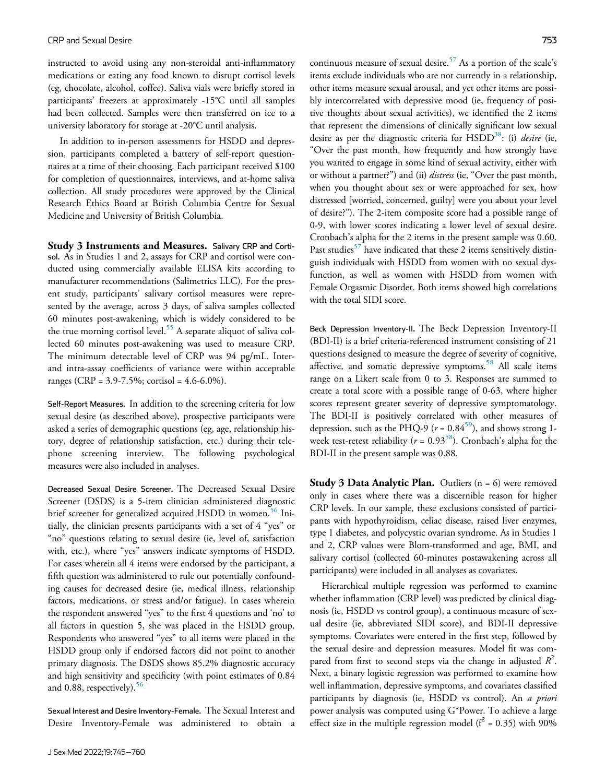instructed to avoid using any non-steroidal anti-inflammatory medications or eating any food known to disrupt cortisol levels (eg, chocolate, alcohol, coffee). Saliva vials were briefly stored in participants' freezers at approximately -15°C until all samples had been collected. Samples were then transferred on ice to a university laboratory for storage at -20°C until analysis.

In addition to in-person assessments for HSDD and depression, participants completed a battery of self-report questionnaires at a time of their choosing. Each participant received \$100 for completion of questionnaires, interviews, and at-home saliva collection. All study procedures were approved by the Clinical Research Ethics Board at British Columbia Centre for Sexual Medicine and University of British Columbia.

Study 3 Instruments and Measures. Salivary CRP and Cortisol. As in Studies 1 and 2, assays for CRP and cortisol were conducted using commercially available ELISA kits according to manufacturer recommendations (Salimetrics LLC). For the present study, participants' salivary cortisol measures were represented by the average, across 3 days, of saliva samples collected 60 minutes post-awakening, which is widely considered to be the true morning cortisol level.<sup>[55](#page-14-21)</sup> A separate aliquot of saliva collected 60 minutes post-awakening was used to measure CRP. The minimum detectable level of CRP was 94 pg/mL. Interand intra-assay coefficients of variance were within acceptable ranges (CRP = 3.9-7.5%; cortisol = 4.6-6.0%).

Self-Report Measures. In addition to the screening criteria for low sexual desire (as described above), prospective participants were asked a series of demographic questions (eg, age, relationship history, degree of relationship satisfaction, etc.) during their telephone screening interview. The following psychological measures were also included in analyses.

Decreased Sexual Desire Screener. The Decreased Sexual Desire Screener (DSDS) is a 5-item clinician administered diagnostic brief screener for generalized acquired HSDD in women.<sup>[56](#page-14-22)</sup> Initially, the clinician presents participants with a set of 4 "yes" or "no" questions relating to sexual desire (ie, level of, satisfaction with, etc.), where "yes" answers indicate symptoms of HSDD. For cases wherein all 4 items were endorsed by the participant, a fifth question was administered to rule out potentially confounding causes for decreased desire (ie, medical illness, relationship factors, medications, or stress and/or fatigue). In cases wherein the respondent answered "yes" to the first 4 questions and 'no' to all factors in question 5, she was placed in the HSDD group. Respondents who answered "yes" to all items were placed in the HSDD group only if endorsed factors did not point to another primary diagnosis. The DSDS shows 85.2% diagnostic accuracy and high sensitivity and specificity (with point estimates of 0.84 and 0.88, respectively).  $56$ 

Sexual Interest and Desire Inventory-Female. The Sexual Interest and Desire Inventory-Female was administered to obtain a continuous measure of sexual desire.<sup>[57](#page-14-23)</sup> As a portion of the scale's items exclude individuals who are not currently in a relationship, other items measure sexual arousal, and yet other items are possibly intercorrelated with depressive mood (ie, frequency of positive thoughts about sexual activities), we identified the 2 items that represent the dimensions of clinically significant low sexual desire as per the diagnostic criteria for HSDD<sup>38</sup>: (i) desire (ie, "Over the past month, how frequently and how strongly have you wanted to engage in some kind of sexual activity, either with or without a partner?") and (ii) *distress* (ie, "Over the past month, when you thought about sex or were approached for sex, how distressed [worried, concerned, guilty] were you about your level of desire?"). The 2-item composite score had a possible range of 0-9, with lower scores indicating a lower level of sexual desire. Cronbach's alpha for the 2 items in the present sample was 0.60. Past studies<sup>[57](#page-14-23)</sup> have indicated that these 2 items sensitively distinguish individuals with HSDD from women with no sexual dysfunction, as well as women with HSDD from women with Female Orgasmic Disorder. Both items showed high correlations with the total SIDI score.

Beck Depression Inventory-II. The Beck Depression Inventory-II (BDI-II) is a brief criteria-referenced instrument consisting of 21 questions designed to measure the degree of severity of cognitive, affective, and somatic depressive symptoms.<sup>[58](#page-15-0)</sup> All scale items range on a Likert scale from 0 to 3. Responses are summed to create a total score with a possible range of 0-63, where higher scores represent greater severity of depressive symptomatology. The BDI-II is positively correlated with other measures of depression, such as the PHQ-9 ( $r = 0.84^{59}$  $r = 0.84^{59}$  $r = 0.84^{59}$ ), and shows strong 1week test-retest reliability ( $r = 0.93^{58}$ ). Cronbach's alpha for the BDI-II in the present sample was 0.88.

**Study 3 Data Analytic Plan.** Outliers  $(n = 6)$  were removed only in cases where there was a discernible reason for higher CRP levels. In our sample, these exclusions consisted of participants with hypothyroidism, celiac disease, raised liver enzymes, type 1 diabetes, and polycystic ovarian syndrome. As in Studies 1 and 2, CRP values were Blom-transformed and age, BMI, and salivary cortisol (collected 60-minutes postawakening across all participants) were included in all analyses as covariates.

Hierarchical multiple regression was performed to examine whether inflammation (CRP level) was predicted by clinical diagnosis (ie, HSDD vs control group), a continuous measure of sexual desire (ie, abbreviated SIDI score), and BDI-II depressive symptoms. Covariates were entered in the first step, followed by the sexual desire and depression measures. Model fit was compared from first to second steps via the change in adjusted  $R^2$ . Next, a binary logistic regression was performed to examine how well inflammation, depressive symptoms, and covariates classified participants by diagnosis (ie, HSDD vs control). An a priori power analysis was computed using G\*Power. To achieve a large effect size in the multiple regression model ( $f^2 = 0.35$ ) with 90%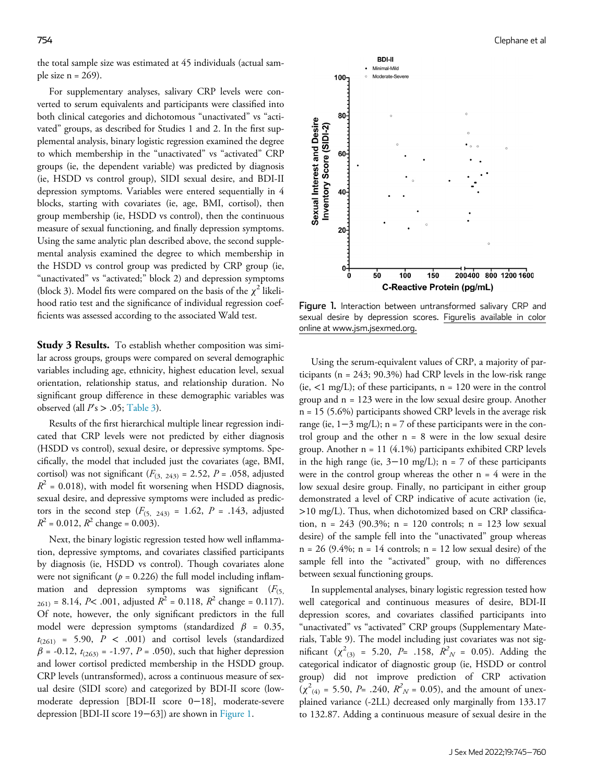<span id="page-9-0"></span>the total sample size was estimated at 45 individuals (actual sample size  $n = 269$ ).

For supplementary analyses, salivary CRP levels were converted to serum equivalents and participants were classified into both clinical categories and dichotomous "unactivated" vs "activated" groups, as described for Studies 1 and 2. In the first supplemental analysis, binary logistic regression examined the degree to which membership in the "unactivated" vs "activated" CRP groups (ie, the dependent variable) was predicted by diagnosis (ie, HSDD vs control group), SIDI sexual desire, and BDI-II depression symptoms. Variables were entered sequentially in 4 blocks, starting with covariates (ie, age, BMI, cortisol), then group membership (ie, HSDD vs control), then the continuous measure of sexual functioning, and finally depression symptoms. Using the same analytic plan described above, the second supplemental analysis examined the degree to which membership in the HSDD vs control group was predicted by CRP group (ie, "unactivated" vs "activated;" block 2) and depression symptoms (block 3). Model fits were compared on the basis of the  $\chi^2$  likelihood ratio test and the significance of individual regression coefficients was assessed according to the associated Wald test.

**Study 3 Results.** To establish whether composition was similar across groups, groups were compared on several demographic variables including age, ethnicity, highest education level, sexual orientation, relationship status, and relationship duration. No significant group difference in these demographic variables was observed (all  $Ps > .05$ ; [Table 3\)](#page-7-0).

Results of the first hierarchical multiple linear regression indicated that CRP levels were not predicted by either diagnosis (HSDD vs control), sexual desire, or depressive symptoms. Specifically, the model that included just the covariates (age, BMI, cortisol) was not significant ( $F_{(3, 243)} = 2.52$ ,  $P = .058$ , adjusted  $R^2$  = 0.018), with model fit worsening when HSDD diagnosis, sexual desire, and depressive symptoms were included as predictors in the second step  $(F_{(5, 243)} = 1.62, P = .143,$  adjusted  $R^2$  = 0.012,  $R^2$  change = 0.003).

Next, the binary logistic regression tested how well inflammation, depressive symptoms, and covariates classified participants by diagnosis (ie, HSDD vs control). Though covariates alone were not significant ( $p = 0.226$ ) the full model including inflammation and depression symptoms was significant  $(F_{(5)})$  $_{261)}$  = 8.14, P< .001, adjusted  $R^2$  = 0.118,  $R^2$  change = 0.117). Of note, however, the only significant predictors in the full model were depression symptoms (standardized  $\beta$  = 0.35,  $t_{(261)}$  = 5.90,  $P < .001$ ) and cortisol levels (standardized  $\beta$  = -0.12,  $t_{(263)}$  = -1.97, P = .050), such that higher depression and lower cortisol predicted membership in the HSDD group. CRP levels (untransformed), across a continuous measure of sexual desire (SIDI score) and categorized by BDI-II score (lowmoderate depression [BDI-II score 0−18], moderate-severe depression [BDI-II score 19−63]) are shown in [Figure 1.](#page-9-0)



Figure 1. Interaction between untransformed salivary CRP and sexual desire by depression scores. Figurelis available in color online at www.jsm.jsexmed.org.

Using the serum-equivalent values of CRP, a majority of participants (n = 243; 90.3%) had CRP levels in the low-risk range (ie,  $\langle 1 \text{ mg/L}}$ ); of these participants, n = 120 were in the control group and n = 123 were in the low sexual desire group. Another  $n = 15$  (5.6%) participants showed CRP levels in the average risk range (ie,  $1-3$  mg/L); n = 7 of these participants were in the control group and the other  $n = 8$  were in the low sexual desire group. Another n = 11 (4.1%) participants exhibited CRP levels in the high range (ie,  $3-10$  mg/L); n = 7 of these participants were in the control group whereas the other  $n = 4$  were in the low sexual desire group. Finally, no participant in either group demonstrated a level of CRP indicative of acute activation (ie, >10 mg/L). Thus, when dichotomized based on CRP classification,  $n = 243$  (90.3%;  $n = 120$  controls;  $n = 123$  low sexual desire) of the sample fell into the "unactivated" group whereas  $n = 26$  (9.4%;  $n = 14$  controls;  $n = 12$  low sexual desire) of the sample fell into the "activated" group, with no differences between sexual functioning groups.

In supplemental analyses, binary logistic regression tested how well categorical and continuous measures of desire, BDI-II depression scores, and covariates classified participants into "unactivated" vs "activated" CRP groups (Supplementary Materials, Table 9). The model including just covariates was not significant ( $\chi^2_{(3)}$  = 5.20, P= .158,  $R_N^2 = 0.05$ ). Adding the categorical indicator of diagnostic group (ie, HSDD or control group) did not improve prediction of CRP activation  $(\chi^2_{(4)} = 5.50, P = .240, R_N^2 = 0.05)$ , and the amount of unexplained variance (-2LL) decreased only marginally from 133.17 to 132.87. Adding a continuous measure of sexual desire in the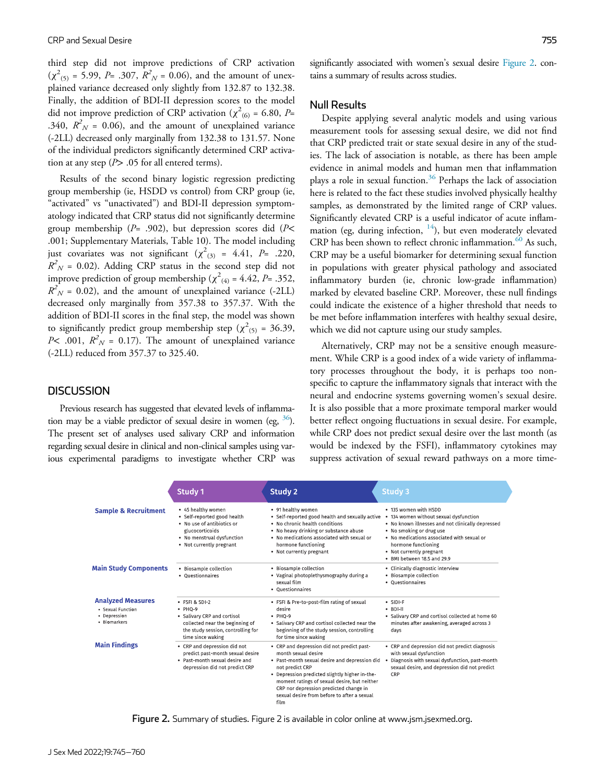third step did not improve predictions of CRP activation  $(\chi^2_{(5)} = 5.99, P = .307, R^2_{N} = 0.06)$ , and the amount of unexplained variance decreased only slightly from 132.87 to 132.38. Finally, the addition of BDI-II depression scores to the model did not improve prediction of CRP activation ( $\chi^2_{(6)}$  = 6.80, P= .340,  $R_N^2$  = 0.06), and the amount of unexplained variance (-2LL) decreased only marginally from 132.38 to 131.57. None of the individual predictors significantly determined CRP activation at any step  $(P > .05$  for all entered terms).

Results of the second binary logistic regression predicting group membership (ie, HSDD vs control) from CRP group (ie, "activated" vs "unactivated") and BDI-II depression symptomatology indicated that CRP status did not significantly determine group membership ( $P=$  .902), but depression scores did ( $P<$ .001; Supplementary Materials, Table 10). The model including just covariates was not significant  $(\chi^2_{(3)} = 4.41, P = .220,$  $R^2$ <sub>N</sub> = 0.02). Adding CRP status in the second step did not improve prediction of group membership ( $\chi^2_{(4)}$  = 4.42, P= .352,  $R^2$ <sub>N</sub> = 0.02), and the amount of unexplained variance (-2LL) decreased only marginally from 357.38 to 357.37. With the addition of BDI-II scores in the final step, the model was shown to significantly predict group membership step ( $\chi^2$ <sub>(5)</sub> = 36.39, *P*< .001,  $R_N^2 = 0.17$ ). The amount of unexplained variance (-2LL) reduced from 357.37 to 325.40.

#### **DISCUSSION**

<span id="page-10-0"></span>Previous research has suggested that elevated levels of inflammation may be a viable predictor of sexual desire in women (eg,  $36$ ). The present set of analyses used salivary CRP and information regarding sexual desire in clinical and non-clinical samples using various experimental paradigms to investigate whether CRP was significantly associated with women's sexual desire [Figure 2](#page-10-0). contains a summary of results across studies.

#### Null Results

Despite applying several analytic models and using various measurement tools for assessing sexual desire, we did not find that CRP predicted trait or state sexual desire in any of the studies. The lack of association is notable, as there has been ample evidence in animal models and human men that inflammation plays a role in sexual function.<sup>[36](#page-14-5)</sup> Perhaps the lack of association here is related to the fact these studies involved physically healthy samples, as demonstrated by the limited range of CRP values. Significantly elevated CRP is a useful indicator of acute inflammation (eg, during infection,  $14$ ), but even moderately elevated CRP has been shown to reflect chronic inflammation.<sup>[60](#page-15-2)</sup> As such, CRP may be a useful biomarker for determining sexual function in populations with greater physical pathology and associated inflammatory burden (ie, chronic low-grade inflammation) marked by elevated baseline CRP. Moreover, these null findings could indicate the existence of a higher threshold that needs to be met before inflammation interferes with healthy sexual desire, which we did not capture using our study samples.

Alternatively, CRP may not be a sensitive enough measurement. While CRP is a good index of a wide variety of inflammatory processes throughout the body, it is perhaps too nonspecific to capture the inflammatory signals that interact with the neural and endocrine systems governing women's sexual desire. It is also possible that a more proximate temporal marker would better reflect ongoing fluctuations in sexual desire. For example, while CRP does not predict sexual desire over the last month (as would be indexed by the FSFI), inflammatory cytokines may suppress activation of sexual reward pathways on a more time-

|                                                                               | Study 1                                                                                                                                                      | Study 2                                                                                                                                                                                                                                                                                                                                   | Study 3                                                                                                                                                                                                                                                                                     |
|-------------------------------------------------------------------------------|--------------------------------------------------------------------------------------------------------------------------------------------------------------|-------------------------------------------------------------------------------------------------------------------------------------------------------------------------------------------------------------------------------------------------------------------------------------------------------------------------------------------|---------------------------------------------------------------------------------------------------------------------------------------------------------------------------------------------------------------------------------------------------------------------------------------------|
| <b>Sample &amp; Recruitment</b>                                               | • 45 healthy women<br>· Self-reported good health<br>• No use of antibiotics or<br>glucocorticoids<br>• No menstrual dysfunction<br>• Not currently pregnant | • 91 healthy women<br>· Self-reported good health and sexually active<br>. No chronic health conditions<br>• No heavy drinking or substance abuse<br>. No medications associated with sexual or<br>hormone functioning<br>• Not currently pregnant                                                                                        | . 135 women with HSDD<br>134 women without sexual dysfunction<br>$\bullet$<br>• No known illnesses and not clinically depressed<br>. No smoking or drug use<br>. No medications associated with sexual or<br>hormone functioning<br>• Not currently pregnant<br>· BMI between 18.5 and 29.9 |
| <b>Main Study Components</b>                                                  | • Biosample collection<br>• Questionnaires                                                                                                                   | • Biosample collection<br>• Vaginal photoplethysmography during a<br>sexual film<br>• Ouestionnaires                                                                                                                                                                                                                                      | • Clinically diagnostic interview<br>• Biosample collection<br>• Questionnaires                                                                                                                                                                                                             |
| <b>Analyzed Measures</b><br>· Sexual Function<br>• Depression<br>• Biomarkers | · FSFI & SDI-2<br>$\cdot$ PHO-9<br>• Salivary CRP and cortisol<br>collected near the beginning of<br>the study session, controlling for<br>time since waking | . FSFI & Pre-to-post-film rating of sexual<br>desire<br>$\cdot$ PHQ-9<br>• Salivary CRP and cortisol collected near the<br>beginning of the study session, controlling<br>for time since waking                                                                                                                                           | $\cdot$ SIDI-F<br>$-$ BDI-II<br>· Salivary CRP and cortisol collected at home 60<br>minutes after awakening, averaged across 3<br>days                                                                                                                                                      |
| <b>Main Findings</b>                                                          | • CRP and depression did not<br>predict past-month sexual desire<br>. Past-month sexual desire and<br>depression did not predict CRP                         | • CRP and depression did not predict past-<br>month sexual desire<br>. Past-month sexual desire and depression did<br>not predict CRP<br>. Depression predicted slightly higher in the-<br>moment ratings of sexual desire, but neither<br>CRP nor depression predicted change in<br>sexual desire from before to after a sexual<br>film. | • CRP and depression did not predict diagnosis<br>with sexual dysfunction<br>Diagnosis with sexual dysfunction, past-month<br>sexual desire, and depression did not predict<br>CRP                                                                                                          |

Figure 2. Summary of studies. Figure 2 is available in color online at www.jsm.jsexmed.org.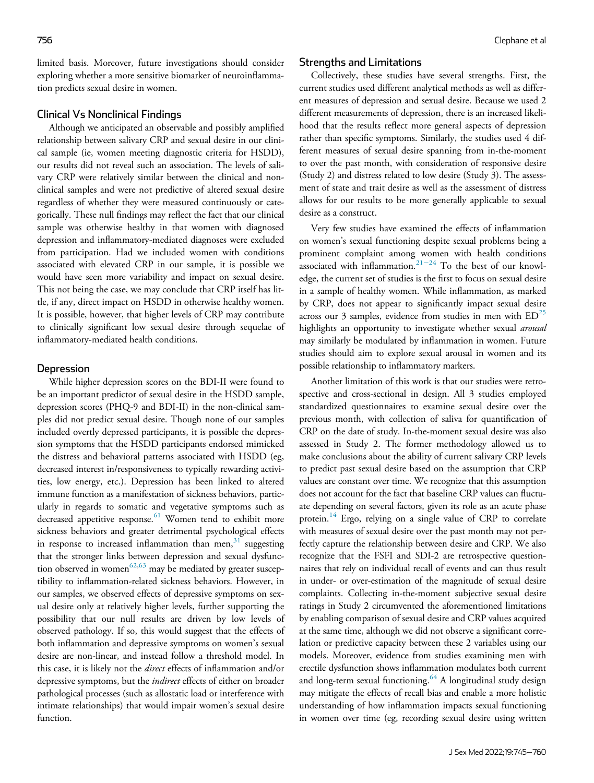limited basis. Moreover, future investigations should consider exploring whether a more sensitive biomarker of neuroinflammation predicts sexual desire in women.

## Clinical Vs Nonclinical Findings

Although we anticipated an observable and possibly amplified relationship between salivary CRP and sexual desire in our clinical sample (ie, women meeting diagnostic criteria for HSDD), our results did not reveal such an association. The levels of salivary CRP were relatively similar between the clinical and nonclinical samples and were not predictive of altered sexual desire regardless of whether they were measured continuously or categorically. These null findings may reflect the fact that our clinical sample was otherwise healthy in that women with diagnosed depression and inflammatory-mediated diagnoses were excluded from participation. Had we included women with conditions associated with elevated CRP in our sample, it is possible we would have seen more variability and impact on sexual desire. This not being the case, we may conclude that CRP itself has little, if any, direct impact on HSDD in otherwise healthy women. It is possible, however, that higher levels of CRP may contribute to clinically significant low sexual desire through sequelae of inflammatory-mediated health conditions.

#### Depression

While higher depression scores on the BDI-II were found to be an important predictor of sexual desire in the HSDD sample, depression scores (PHQ-9 and BDI-II) in the non-clinical samples did not predict sexual desire. Though none of our samples included overtly depressed participants, it is possible the depression symptoms that the HSDD participants endorsed mimicked the distress and behavioral patterns associated with HSDD (eg, decreased interest in/responsiveness to typically rewarding activities, low energy, etc.). Depression has been linked to altered immune function as a manifestation of sickness behaviors, particularly in regards to somatic and vegetative symptoms such as decreased appetitive response.<sup>[61](#page-15-3)</sup> Women tend to exhibit more sickness behaviors and greater detrimental psychological effects in response to increased inflammation than men, $31$  suggesting that the stronger links between depression and sexual dysfunc-tion observed in women<sup>[62,](#page-15-4)[63](#page-15-5)</sup> may be mediated by greater susceptibility to inflammation-related sickness behaviors. However, in our samples, we observed effects of depressive symptoms on sexual desire only at relatively higher levels, further supporting the possibility that our null results are driven by low levels of observed pathology. If so, this would suggest that the effects of both inflammation and depressive symptoms on women's sexual desire are non-linear, and instead follow a threshold model. In this case, it is likely not the *direct* effects of inflammation and/or depressive symptoms, but the *indirect* effects of either on broader pathological processes (such as allostatic load or interference with intimate relationships) that would impair women's sexual desire function.

#### Strengths and Limitations

Collectively, these studies have several strengths. First, the current studies used different analytical methods as well as different measures of depression and sexual desire. Because we used 2 different measurements of depression, there is an increased likelihood that the results reflect more general aspects of depression rather than specific symptoms. Similarly, the studies used 4 different measures of sexual desire spanning from in-the-moment to over the past month, with consideration of responsive desire (Study 2) and distress related to low desire (Study 3). The assessment of state and trait desire as well as the assessment of distress allows for our results to be more generally applicable to sexual desire as a construct.

Very few studies have examined the effects of inflammation on women's sexual functioning despite sexual problems being a prominent complaint among women with health conditions associated with inflammation.[21](#page-13-17)−<sup>24</sup> To the best of our knowledge, the current set of studies is the first to focus on sexual desire in a sample of healthy women. While inflammation, as marked by CRP, does not appear to significantly impact sexual desire across our 3 samples, evidence from studies in men with  $ED^{25}$  $ED^{25}$  $ED^{25}$ highlights an opportunity to investigate whether sexual arousal may similarly be modulated by inflammation in women. Future studies should aim to explore sexual arousal in women and its possible relationship to inflammatory markers.

Another limitation of this work is that our studies were retrospective and cross-sectional in design. All 3 studies employed standardized questionnaires to examine sexual desire over the previous month, with collection of saliva for quantification of CRP on the date of study. In-the-moment sexual desire was also assessed in Study 2. The former methodology allowed us to make conclusions about the ability of current salivary CRP levels to predict past sexual desire based on the assumption that CRP values are constant over time. We recognize that this assumption does not account for the fact that baseline CRP values can fluctuate depending on several factors, given its role as an acute phase protein.<sup>[14](#page-13-9)</sup> Ergo, relying on a single value of CRP to correlate with measures of sexual desire over the past month may not perfectly capture the relationship between desire and CRP. We also recognize that the FSFI and SDI-2 are retrospective questionnaires that rely on individual recall of events and can thus result in under- or over-estimation of the magnitude of sexual desire complaints. Collecting in-the-moment subjective sexual desire ratings in Study 2 circumvented the aforementioned limitations by enabling comparison of sexual desire and CRP values acquired at the same time, although we did not observe a significant correlation or predictive capacity between these 2 variables using our models. Moreover, evidence from studies examining men with erectile dysfunction shows inflammation modulates both current and long-term sexual functioning. $64$  A longitudinal study design may mitigate the effects of recall bias and enable a more holistic understanding of how inflammation impacts sexual functioning in women over time (eg, recording sexual desire using written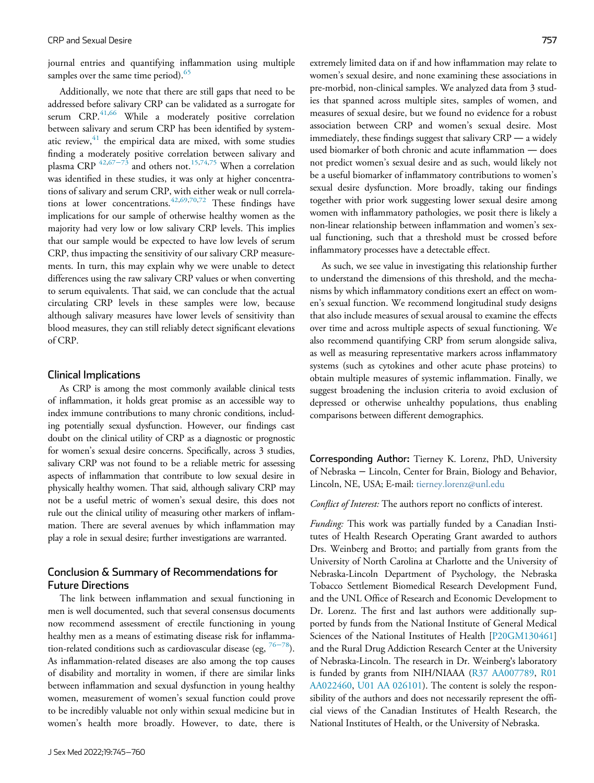journal entries and quantifying inflammation using multiple samples over the same time period). $65$ 

Additionally, we note that there are still gaps that need to be addressed before salivary CRP can be validated as a surrogate for serum  $CRP<sup>41,66</sup>$  $CRP<sup>41,66</sup>$  $CRP<sup>41,66</sup>$  $CRP<sup>41,66</sup>$  While a moderately positive correlation between salivary and serum CRP has been identified by systematic review, $41$  the empirical data are mixed, with some studies finding a moderately positive correlation between salivary and plasma CRP  $42,67-73$  $42,67-73$  $42,67-73$  and others not.<sup>[15](#page-13-10)[,74](#page-15-10)[,75](#page-15-11)</sup> When a correlation was identified in these studies, it was only at higher concentrations of salivary and serum CRP, with either weak or null correlations at lower concentrations.  $42,69,70,72$  $42,69,70,72$  $42,69,70,72$  $42,69,70,72$  These findings have implications for our sample of otherwise healthy women as the majority had very low or low salivary CRP levels. This implies that our sample would be expected to have low levels of serum CRP, thus impacting the sensitivity of our salivary CRP measurements. In turn, this may explain why we were unable to detect differences using the raw salivary CRP values or when converting to serum equivalents. That said, we can conclude that the actual circulating CRP levels in these samples were low, because although salivary measures have lower levels of sensitivity than blood measures, they can still reliably detect significant elevations of CRP.

#### Clinical Implications

As CRP is among the most commonly available clinical tests of inflammation, it holds great promise as an accessible way to index immune contributions to many chronic conditions, including potentially sexual dysfunction. However, our findings cast doubt on the clinical utility of CRP as a diagnostic or prognostic for women's sexual desire concerns. Specifically, across 3 studies, salivary CRP was not found to be a reliable metric for assessing aspects of inflammation that contribute to low sexual desire in physically healthy women. That said, although salivary CRP may not be a useful metric of women's sexual desire, this does not rule out the clinical utility of measuring other markers of inflammation. There are several avenues by which inflammation may play a role in sexual desire; further investigations are warranted.

# Conclusion & Summary of Recommendations for Future Directions

The link between inflammation and sexual functioning in men is well documented, such that several consensus documents now recommend assessment of erectile functioning in young healthy men as a means of estimating disease risk for inflammation-related conditions such as cardiovascular disease (eg,  $76-78$  $76-78$ ). As inflammation-related diseases are also among the top causes of disability and mortality in women, if there are similar links between inflammation and sexual dysfunction in young healthy women, measurement of women's sexual function could prove to be incredibly valuable not only within sexual medicine but in women's health more broadly. However, to date, there is extremely limited data on if and how inflammation may relate to women's sexual desire, and none examining these associations in pre-morbid, non-clinical samples. We analyzed data from 3 studies that spanned across multiple sites, samples of women, and measures of sexual desire, but we found no evidence for a robust association between CRP and women's sexual desire. Most immediately, these findings suggest that salivary CRP — a widely used biomarker of both chronic and acute inflammation — does not predict women's sexual desire and as such, would likely not be a useful biomarker of inflammatory contributions to women's sexual desire dysfunction. More broadly, taking our findings together with prior work suggesting lower sexual desire among women with inflammatory pathologies, we posit there is likely a non-linear relationship between inflammation and women's sexual functioning, such that a threshold must be crossed before inflammatory processes have a detectable effect.

As such, we see value in investigating this relationship further to understand the dimensions of this threshold, and the mechanisms by which inflammatory conditions exert an effect on women's sexual function. We recommend longitudinal study designs that also include measures of sexual arousal to examine the effects over time and across multiple aspects of sexual functioning. We also recommend quantifying CRP from serum alongside saliva, as well as measuring representative markers across inflammatory systems (such as cytokines and other acute phase proteins) to obtain multiple measures of systemic inflammation. Finally, we suggest broadening the inclusion criteria to avoid exclusion of depressed or otherwise unhealthy populations, thus enabling comparisons between different demographics.

Corresponding Author: Tierney K. Lorenz, PhD, University of Nebraska − Lincoln, Center for Brain, Biology and Behavior, Lincoln, NE, USA; E-mail: [tierney.lorenz@unl.edu](mailto:tierney.lorenz@unl.edu)

Conflict of Interest: The authors report no conflicts of interest.

Funding: This work was partially funded by a Canadian Institutes of Health Research Operating Grant awarded to authors Drs. Weinberg and Brotto; and partially from grants from the University of North Carolina at Charlotte and the University of Nebraska-Lincoln Department of Psychology, the Nebraska Tobacco Settlement Biomedical Research Development Fund, and the UNL Office of Research and Economic Development to Dr. Lorenz. The first and last authors were additionally supported by funds from the National Institute of General Medical Sciences of the National Institutes of Health [P20GM130461] and the Rural Drug Addiction Research Center at the University of Nebraska-Lincoln. The research in Dr. Weinberg's laboratory is funded by grants from NIH/NIAAA (R37 AA007789, R01 AA022460, U01 AA 026101). The content is solely the responsibility of the authors and does not necessarily represent the official views of the Canadian Institutes of Health Research, the National Institutes of Health, or the University of Nebraska.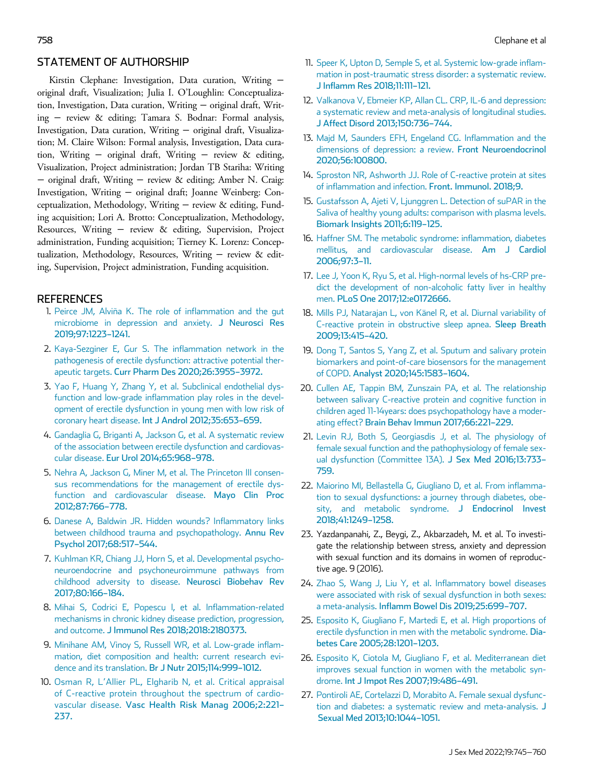# STATEMENT OF AUTHORSHIP

<span id="page-13-9"></span><span id="page-13-8"></span>Kirstin Clephane: Investigation, Data curation, Writing − original draft, Visualization; Julia I. O'Loughlin: Conceptualization, Investigation, Data curation, Writing − original draft, Writing − review & editing; Tamara S. Bodnar: Formal analysis, Investigation, Data curation, Writing − original draft, Visualization; M. Claire Wilson: Formal analysis, Investigation, Data curation, Writing − original draft, Writing − review & editing, Visualization, Project administration; Jordan TB Stariha: Writing − original draft, Writing − review & editing; Amber N. Craig: Investigation, Writing − original draft; Joanne Weinberg: Conceptualization, Methodology, Writing − review & editing, Funding acquisition; Lori A. Brotto: Conceptualization, Methodology, Resources, Writing − review & editing, Supervision, Project administration, Funding acquisition; Tierney K. Lorenz: Conceptualization, Methodology, Resources, Writing − review & editing, Supervision, Project administration, Funding acquisition.

# <span id="page-13-14"></span><span id="page-13-13"></span><span id="page-13-12"></span><span id="page-13-10"></span><span id="page-13-0"></span>**REFERENCES**

- 1. [Peirce JM, Alvi](http://refhub.elsevier.com/S1743-6095(22)00583-5/sbref0001)ñ[a K. The role of inflammation and the gut](http://refhub.elsevier.com/S1743-6095(22)00583-5/sbref0001) [microbiome in depression and anxiety.](http://refhub.elsevier.com/S1743-6095(22)00583-5/sbref0001) J Neurosci Res [2019;97:1223](http://refhub.elsevier.com/S1743-6095(22)00583-5/sbref0001)–1241.
- <span id="page-13-15"></span><span id="page-13-1"></span>2. [Kaya-Sezginer E, Gur S. The inflammation network in the](http://refhub.elsevier.com/S1743-6095(22)00583-5/sbref0002) [pathogenesis of erectile dysfunction: attractive potential ther](http://refhub.elsevier.com/S1743-6095(22)00583-5/sbref0002)apeutic targets. [Curr Pharm Des 2020;26:3955](http://refhub.elsevier.com/S1743-6095(22)00583-5/sbref0002)–3972.
- <span id="page-13-16"></span><span id="page-13-2"></span>3. [Yao F, Huang Y, Zhang Y, et al. Subclinical endothelial dys](http://refhub.elsevier.com/S1743-6095(22)00583-5/sbref0003)[function and low-grade inflammation play roles in the devel](http://refhub.elsevier.com/S1743-6095(22)00583-5/sbref0003)[opment of erectile dysfunction in young men with low risk of](http://refhub.elsevier.com/S1743-6095(22)00583-5/sbref0003) coronary heart disease. [Int J Androl 2012;35:653](http://refhub.elsevier.com/S1743-6095(22)00583-5/sbref0003)–659.
- <span id="page-13-17"></span><span id="page-13-3"></span>4. [Gandaglia G, Briganti A, Jackson G, et al. A systematic review](http://refhub.elsevier.com/S1743-6095(22)00583-5/sbref0004) [of the association between erectile dysfunction and cardiovas](http://refhub.elsevier.com/S1743-6095(22)00583-5/sbref0004)cular disease. [Eur Urol 2014;65:968](http://refhub.elsevier.com/S1743-6095(22)00583-5/sbref0004)–978.
- <span id="page-13-18"></span><span id="page-13-4"></span>5. [Nehra A, Jackson G, Miner M, et al. The Princeton III consen](http://refhub.elsevier.com/S1743-6095(22)00583-5/sbref0005)[sus recommendations for the management of erectile dys](http://refhub.elsevier.com/S1743-6095(22)00583-5/sbref0005)[function and cardiovascular disease.](http://refhub.elsevier.com/S1743-6095(22)00583-5/sbref0005) Mayo Clin Proc [2012;87:766](http://refhub.elsevier.com/S1743-6095(22)00583-5/sbref0005)–778.
- <span id="page-13-5"></span>6. [Danese A, Baldwin JR. Hidden wounds? Inflammatory links](http://refhub.elsevier.com/S1743-6095(22)00583-5/sbref0006) [between childhood trauma and psychopathology.](http://refhub.elsevier.com/S1743-6095(22)00583-5/sbref0006) Annu Rev [Psychol 2017;68:517](http://refhub.elsevier.com/S1743-6095(22)00583-5/sbref0006)–544.
- <span id="page-13-6"></span>7. [Kuhlman KR, Chiang JJ, Horn S, et al. Developmental psycho](http://refhub.elsevier.com/S1743-6095(22)00583-5/sbref0007)[neuroendocrine and psychoneuroimmune pathways from](http://refhub.elsevier.com/S1743-6095(22)00583-5/sbref0007) [childhood adversity to disease.](http://refhub.elsevier.com/S1743-6095(22)00583-5/sbref0007) Neurosci Biobehav Rev [2017;80:166](http://refhub.elsevier.com/S1743-6095(22)00583-5/sbref0007)–184.
- <span id="page-13-19"></span><span id="page-13-7"></span>8. [Mihai S, Codrici E, Popescu I, et al. Inflammation-related](http://refhub.elsevier.com/S1743-6095(22)00583-5/sbref0008) [mechanisms in chronic kidney disease prediction, progression,](http://refhub.elsevier.com/S1743-6095(22)00583-5/sbref0008) and outcome. [J Immunol Res 2018;2018:2180373.](http://refhub.elsevier.com/S1743-6095(22)00583-5/sbref0008)
- <span id="page-13-20"></span>9. [Minihane AM, Vinoy S, Russell WR, et al. Low-grade inflam](http://refhub.elsevier.com/S1743-6095(22)00583-5/sbref0009)[mation, diet composition and health: current research evi](http://refhub.elsevier.com/S1743-6095(22)00583-5/sbref0009)[dence and its translation.](http://refhub.elsevier.com/S1743-6095(22)00583-5/sbref0009) Br J Nutr 2015;114:999–1012.
- <span id="page-13-21"></span><span id="page-13-11"></span>10. Osman R, L'[Allier PL, Elgharib N, et al. Critical appraisal](http://refhub.elsevier.com/S1743-6095(22)00583-5/sbref0010) [of C-reactive protein throughout the spectrum of cardio](http://refhub.elsevier.com/S1743-6095(22)00583-5/sbref0010)vascular disease. [Vasc Health Risk Manag 2006;2:221](http://refhub.elsevier.com/S1743-6095(22)00583-5/sbref0010)– [237.](http://refhub.elsevier.com/S1743-6095(22)00583-5/sbref0010)
- 11. [Speer K, Upton D, Semple S, et al. Systemic low-grade inflam](http://refhub.elsevier.com/S1743-6095(22)00583-5/sbref0011)[mation in post-traumatic stress disorder: a systematic review.](http://refhub.elsevier.com/S1743-6095(22)00583-5/sbref0011) [J Inflamm Res 2018;11:111](http://refhub.elsevier.com/S1743-6095(22)00583-5/sbref0011)–121.
- 12. [Valkanova V, Ebmeier KP, Allan CL. CRP, IL-6 and depression:](http://refhub.elsevier.com/S1743-6095(22)00583-5/sbref0012) [a systematic review and meta-analysis of longitudinal studies.](http://refhub.elsevier.com/S1743-6095(22)00583-5/sbref0012) [J Affect Disord 2013;150:736](http://refhub.elsevier.com/S1743-6095(22)00583-5/sbref0012)–744.
- 13. [Majd M, Saunders EFH, Engeland CG. Inflammation and the](http://refhub.elsevier.com/S1743-6095(22)00583-5/sbref0013) [dimensions of depression: a review.](http://refhub.elsevier.com/S1743-6095(22)00583-5/sbref0013) Front Neuroendocrinol [2020;56:100800.](http://refhub.elsevier.com/S1743-6095(22)00583-5/sbref0013)
- 14. [Sproston NR, Ashworth JJ. Role of C-reactive protein at sites](http://refhub.elsevier.com/S1743-6095(22)00583-5/sbref0014) [of inflammation and infection.](http://refhub.elsevier.com/S1743-6095(22)00583-5/sbref0014) Front. Immunol. 2018;9.
- 15. [Gustafsson A, Ajeti V, Ljunggren L. Detection of suPAR in the](http://refhub.elsevier.com/S1743-6095(22)00583-5/sbref0015) [Saliva of healthy young adults: comparison with plasma levels.](http://refhub.elsevier.com/S1743-6095(22)00583-5/sbref0015) [Biomark Insights 2011;6:119](http://refhub.elsevier.com/S1743-6095(22)00583-5/sbref0015)–125.
- 16. [Haffner SM. The metabolic syndrome: inflammation, diabetes](http://refhub.elsevier.com/S1743-6095(22)00583-5/sbref0016) [mellitus, and cardiovascular disease.](http://refhub.elsevier.com/S1743-6095(22)00583-5/sbref0016) Am J Cardiol [2006;97:3](http://refhub.elsevier.com/S1743-6095(22)00583-5/sbref0016)–11.
- 17. [Lee J, Yoon K, Ryu S, et al. High-normal levels of hs-CRP pre](http://refhub.elsevier.com/S1743-6095(22)00583-5/sbref0017)[dict the development of non-alcoholic fatty liver in healthy](http://refhub.elsevier.com/S1743-6095(22)00583-5/sbref0017) men. [PLoS One 2017;12:e0172666.](http://refhub.elsevier.com/S1743-6095(22)00583-5/sbref0017)
- 18. [Mills PJ, Natarajan L, von K](http://refhub.elsevier.com/S1743-6095(22)00583-5/sbref0018)änel R, et al. Diurnal variability of [C-reactive protein in obstructive sleep apnea.](http://refhub.elsevier.com/S1743-6095(22)00583-5/sbref0018) Sleep Breath [2009;13:415](http://refhub.elsevier.com/S1743-6095(22)00583-5/sbref0018)–420.
- 19. [Dong T, Santos S, Yang Z, et al. Sputum and salivary protein](http://refhub.elsevier.com/S1743-6095(22)00583-5/sbref0019) [biomarkers and point-of-care biosensors for the management](http://refhub.elsevier.com/S1743-6095(22)00583-5/sbref0019) of COPD. [Analyst 2020;145:1583](http://refhub.elsevier.com/S1743-6095(22)00583-5/sbref0019)–1604.
- 20. [Cullen AE, Tappin BM, Zunszain PA, et al. The relationship](http://refhub.elsevier.com/S1743-6095(22)00583-5/sbref0020) [between salivary C-reactive protein and cognitive function in](http://refhub.elsevier.com/S1743-6095(22)00583-5/sbref0020) [children aged 11-14years: does psychopathology have a moder](http://refhub.elsevier.com/S1743-6095(22)00583-5/sbref0020)ating effect? [Brain Behav Immun 2017;66:221](http://refhub.elsevier.com/S1743-6095(22)00583-5/sbref0020)–229.
- 21. [Levin RJ, Both S, Georgiasdis J, et al. The physiology of](http://refhub.elsevier.com/S1743-6095(22)00583-5/sbref0021) [female sexual function and the pathophysiology of female sex](http://refhub.elsevier.com/S1743-6095(22)00583-5/sbref0021)[ual dysfunction \(Committee 13A\).](http://refhub.elsevier.com/S1743-6095(22)00583-5/sbref0021) J Sex Med 2016;13:733– [759.](http://refhub.elsevier.com/S1743-6095(22)00583-5/sbref0021)
- 22. [Maiorino MI, Bellastella G, Giugliano D, et al. From inflamma](http://refhub.elsevier.com/S1743-6095(22)00583-5/sbref0022)[tion to sexual dysfunctions: a journey through diabetes, obe](http://refhub.elsevier.com/S1743-6095(22)00583-5/sbref0022)[sity, and metabolic syndrome.](http://refhub.elsevier.com/S1743-6095(22)00583-5/sbref0022) J Endocrinol Invest [2018;41:1249](http://refhub.elsevier.com/S1743-6095(22)00583-5/sbref0022)–1258.
- 23. Yazdanpanahi, Z., Beygi, Z., Akbarzadeh, M. et al. To investigate the relationship between stress, anxiety and depression with sexual function and its domains in women of reproductive age. 9 (2016).
- 24. [Zhao S, Wang J, Liu Y, et al. Inflammatory bowel diseases](http://refhub.elsevier.com/S1743-6095(22)00583-5/sbref0024) [were associated with risk of sexual dysfunction in both sexes:](http://refhub.elsevier.com/S1743-6095(22)00583-5/sbref0024) a meta-analysis. [Inflamm Bowel Dis 2019;25:699](http://refhub.elsevier.com/S1743-6095(22)00583-5/sbref0024)–707.
- 25. [Esposito K, Giugliano F, Martedi E, et al. High proportions of](http://refhub.elsevier.com/S1743-6095(22)00583-5/sbref0025) [erectile dysfunction in men with the metabolic syndrome.](http://refhub.elsevier.com/S1743-6095(22)00583-5/sbref0025) Dia[betes Care 2005;28:1201](http://refhub.elsevier.com/S1743-6095(22)00583-5/sbref0025)–1203.
- 26. [Esposito K, Ciotola M, Giugliano F, et al. Mediterranean diet](http://refhub.elsevier.com/S1743-6095(22)00583-5/sbref0026) [improves sexual function in women with the metabolic syn](http://refhub.elsevier.com/S1743-6095(22)00583-5/sbref0026)drome. [Int J Impot Res 2007;19:486](http://refhub.elsevier.com/S1743-6095(22)00583-5/sbref0026)–491.
- 27. [Pontiroli AE, Cortelazzi D, Morabito A. Female sexual dysfunc](http://refhub.elsevier.com/S1743-6095(22)00583-5/sbref0027)[tion and diabetes: a systematic review and meta-analysis.](http://refhub.elsevier.com/S1743-6095(22)00583-5/sbref0027) J [Sexual Med 2013;10:1044](http://refhub.elsevier.com/S1743-6095(22)00583-5/sbref0027)–1051.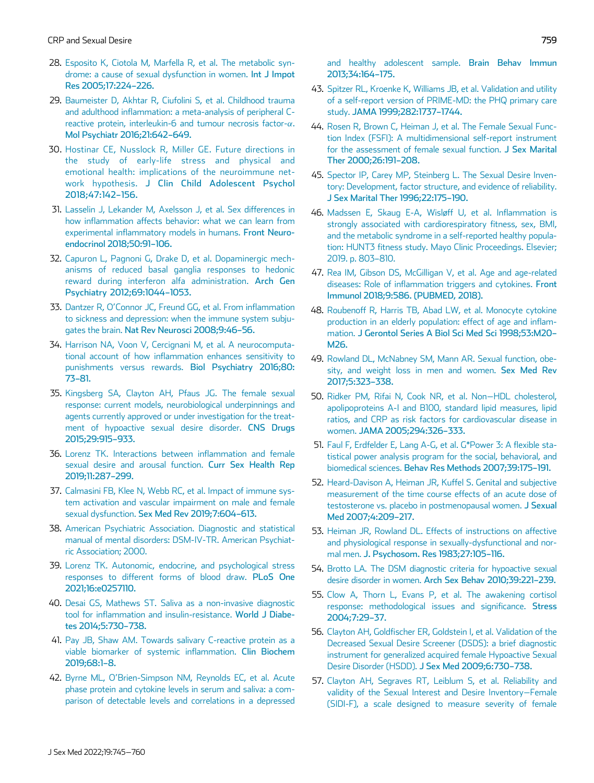- <span id="page-14-0"></span>28. [Esposito K, Ciotola M, Marfella R, et al. The metabolic syn](http://refhub.elsevier.com/S1743-6095(22)00583-5/sbref0028)[drome: a cause of sexual dysfunction in women.](http://refhub.elsevier.com/S1743-6095(22)00583-5/sbref0028) Int J Impot [Res 2005;17:224](http://refhub.elsevier.com/S1743-6095(22)00583-5/sbref0028)–226.
- <span id="page-14-12"></span><span id="page-14-1"></span>29. [Baumeister D, Akhtar R, Ciufolini S, et al. Childhood trauma](http://refhub.elsevier.com/S1743-6095(22)00583-5/sbref0029) [and adulthood inflammation: a meta-analysis of peripheral C](http://refhub.elsevier.com/S1743-6095(22)00583-5/sbref0029)[reactive protein, interleukin-6 and tumour necrosis factor-](http://refhub.elsevier.com/S1743-6095(22)00583-5/sbref0029) $\alpha$ [.](http://refhub.elsevier.com/S1743-6095(22)00583-5/sbref0029) [Mol Psychiatr 2016;21:642](http://refhub.elsevier.com/S1743-6095(22)00583-5/sbref0029)–649.
- <span id="page-14-14"></span><span id="page-14-13"></span>30. [Hostinar CE, Nusslock R, Miller GE. Future directions in](http://refhub.elsevier.com/S1743-6095(22)00583-5/sbref0030) [the study of early-life stress and physical and](http://refhub.elsevier.com/S1743-6095(22)00583-5/sbref0030) [emotional health: implications of the neuroimmune net](http://refhub.elsevier.com/S1743-6095(22)00583-5/sbref0030)work hypothesis. [J Clin Child Adolescent Psychol](http://refhub.elsevier.com/S1743-6095(22)00583-5/sbref0030) [2018;47:142](http://refhub.elsevier.com/S1743-6095(22)00583-5/sbref0030)–156.
- <span id="page-14-15"></span><span id="page-14-2"></span>31. [Lasselin J, Lekander M, Axelsson J, et al. Sex differences in](http://refhub.elsevier.com/S1743-6095(22)00583-5/sbref0031) [how inflammation affects behavior: what we can learn from](http://refhub.elsevier.com/S1743-6095(22)00583-5/sbref0031) [experimental inflammatory models in humans.](http://refhub.elsevier.com/S1743-6095(22)00583-5/sbref0031) Front Neuro[endocrinol 2018;50:91](http://refhub.elsevier.com/S1743-6095(22)00583-5/sbref0031)–106.
- <span id="page-14-3"></span>32. [Capuron L, Pagnoni G, Drake D, et al. Dopaminergic mech](http://refhub.elsevier.com/S1743-6095(22)00583-5/sbref0032)[anisms of reduced basal ganglia responses to hedonic](http://refhub.elsevier.com/S1743-6095(22)00583-5/sbref0032) [reward during interferon alfa administration.](http://refhub.elsevier.com/S1743-6095(22)00583-5/sbref0032) Arch Gen [Psychiatry 2012;69:1044](http://refhub.elsevier.com/S1743-6095(22)00583-5/sbref0032)–1053.
- 33. Dantzer R, O'[Connor JC, Freund GG, et al. From inflammation](http://refhub.elsevier.com/S1743-6095(22)00583-5/sbref0033) [to sickness and depression: when the immune system subju](http://refhub.elsevier.com/S1743-6095(22)00583-5/sbref0033)gates the brain. [Nat Rev Neurosci 2008;9:46](http://refhub.elsevier.com/S1743-6095(22)00583-5/sbref0033)–56.
- 34. [Harrison NA, Voon V, Cercignani M, et al. A neurocomputa](http://refhub.elsevier.com/S1743-6095(22)00583-5/sbref0034)[tional account of how inflammation enhances sensitivity to](http://refhub.elsevier.com/S1743-6095(22)00583-5/sbref0034) [punishments versus rewards.](http://refhub.elsevier.com/S1743-6095(22)00583-5/sbref0034) Biol Psychiatry 2016;80: 73–[81.](http://refhub.elsevier.com/S1743-6095(22)00583-5/sbref0034)
- <span id="page-14-16"></span><span id="page-14-4"></span>35. [Kingsberg SA, Clayton AH, Pfaus JG. The female sexual](http://refhub.elsevier.com/S1743-6095(22)00583-5/sbref0035) [response: current models, neurobiological underpinnings and](http://refhub.elsevier.com/S1743-6095(22)00583-5/sbref0035) [agents currently approved or under investigation for the treat](http://refhub.elsevier.com/S1743-6095(22)00583-5/sbref0035)[ment of hypoactive sexual desire disorder.](http://refhub.elsevier.com/S1743-6095(22)00583-5/sbref0035) CNS Drugs [2015;29:915](http://refhub.elsevier.com/S1743-6095(22)00583-5/sbref0035)–933.
- <span id="page-14-17"></span><span id="page-14-5"></span>36. [Lorenz TK. Interactions between inflammation and female](http://refhub.elsevier.com/S1743-6095(22)00583-5/sbref0036) [sexual desire and arousal function.](http://refhub.elsevier.com/S1743-6095(22)00583-5/sbref0036) Curr Sex Health Rep [2019;11:287](http://refhub.elsevier.com/S1743-6095(22)00583-5/sbref0036)–299.
- <span id="page-14-18"></span><span id="page-14-6"></span>37. [Calmasini FB, Klee N, Webb RC, et al. Impact of immune sys](http://refhub.elsevier.com/S1743-6095(22)00583-5/sbref0037)[tem activation and vascular impairment on male and female](http://refhub.elsevier.com/S1743-6095(22)00583-5/sbref0037) sexual dysfunction. [Sex Med Rev 2019;7:604](http://refhub.elsevier.com/S1743-6095(22)00583-5/sbref0037)–613.
- <span id="page-14-19"></span><span id="page-14-7"></span>38. [American Psychiatric Association. Diagnostic and statistical](http://refhub.elsevier.com/S1743-6095(22)00583-5/sbref0038) [manual of mental disorders: DSM-IV-TR. American Psychiat](http://refhub.elsevier.com/S1743-6095(22)00583-5/sbref0038)[ric Association; 2000.](http://refhub.elsevier.com/S1743-6095(22)00583-5/sbref0038)
- <span id="page-14-20"></span><span id="page-14-8"></span>39. [Lorenz TK. Autonomic, endocrine, and psychological stress](http://refhub.elsevier.com/S1743-6095(22)00583-5/sbref0039) [responses to different forms of blood draw.](http://refhub.elsevier.com/S1743-6095(22)00583-5/sbref0039) PLoS One [2021;16:e0257110.](http://refhub.elsevier.com/S1743-6095(22)00583-5/sbref0039)
- <span id="page-14-21"></span><span id="page-14-9"></span>40. [Desai GS, Mathews ST. Saliva as a non-invasive diagnostic](http://refhub.elsevier.com/S1743-6095(22)00583-5/sbref0040) [tool for inflammation and insulin-resistance.](http://refhub.elsevier.com/S1743-6095(22)00583-5/sbref0040) World J Diabe[tes 2014;5:730](http://refhub.elsevier.com/S1743-6095(22)00583-5/sbref0040)–738.
- <span id="page-14-22"></span><span id="page-14-10"></span>41. [Pay JB, Shaw AM. Towards salivary C-reactive protein as a](http://refhub.elsevier.com/S1743-6095(22)00583-5/sbref0041) [viable biomarker of systemic inflammation.](http://refhub.elsevier.com/S1743-6095(22)00583-5/sbref0041) Clin Biochem [2019;68:1](http://refhub.elsevier.com/S1743-6095(22)00583-5/sbref0041)–8.
- <span id="page-14-23"></span><span id="page-14-11"></span>42. Byrne ML, O'[Brien-Simpson NM, Reynolds EC, et al. Acute](http://refhub.elsevier.com/S1743-6095(22)00583-5/sbref0042) [phase protein and cytokine levels in serum and saliva: a com](http://refhub.elsevier.com/S1743-6095(22)00583-5/sbref0042)[parison of detectable levels and correlations in a depressed](http://refhub.elsevier.com/S1743-6095(22)00583-5/sbref0042)

[and healthy adolescent sample.](http://refhub.elsevier.com/S1743-6095(22)00583-5/sbref0042) Brain Behav Immun [2013;34:164](http://refhub.elsevier.com/S1743-6095(22)00583-5/sbref0042)–175.

- 43. [Spitzer RL, Kroenke K, Williams JB, et al. Validation and utility](http://refhub.elsevier.com/S1743-6095(22)00583-5/sbref0043) [of a self-report version of PRIME-MD: the PHQ primary care](http://refhub.elsevier.com/S1743-6095(22)00583-5/sbref0043) study. [JAMA 1999;282:1737](http://refhub.elsevier.com/S1743-6095(22)00583-5/sbref0043)–1744.
- 44. [Rosen R, Brown C, Heiman J, et al. The Female Sexual Func](http://refhub.elsevier.com/S1743-6095(22)00583-5/sbref0044)[tion Index \(FSFI\): A multidimensional self-report instrument](http://refhub.elsevier.com/S1743-6095(22)00583-5/sbref0044) [for the assessment of female sexual function.](http://refhub.elsevier.com/S1743-6095(22)00583-5/sbref0044) J Sex Marital [Ther 2000;26:191](http://refhub.elsevier.com/S1743-6095(22)00583-5/sbref0044)–208.
- 45. [Spector IP, Carey MP, Steinberg L. The Sexual Desire Inven](http://refhub.elsevier.com/S1743-6095(22)00583-5/sbref0045)[tory: Development, factor structure, and evidence of reliability.](http://refhub.elsevier.com/S1743-6095(22)00583-5/sbref0045) [J Sex Marital Ther 1996;22:175](http://refhub.elsevier.com/S1743-6095(22)00583-5/sbref0045)–190.
- 46. [Madssen E, Skaug E-A, Wisløff U, et al. Inflammation is](http://refhub.elsevier.com/S1743-6095(22)00583-5/sbref0046) [strongly associated with cardiorespiratory fitness, sex, BMI,](http://refhub.elsevier.com/S1743-6095(22)00583-5/sbref0046) [and the metabolic syndrome in a self-reported healthy popula](http://refhub.elsevier.com/S1743-6095(22)00583-5/sbref0046)[tion: HUNT3 fitness study. Mayo Clinic Proceedings. Elsevier;](http://refhub.elsevier.com/S1743-6095(22)00583-5/sbref0046) [2019. p. 803](http://refhub.elsevier.com/S1743-6095(22)00583-5/sbref0046)–810.
- 47. [Rea IM, Gibson DS, McGilligan V, et al. Age and age-related](http://refhub.elsevier.com/S1743-6095(22)00583-5/sbref0047) [diseases: Role of inflammation triggers and cytokines.](http://refhub.elsevier.com/S1743-6095(22)00583-5/sbref0047) Front [Immunol 2018;9:586. \(PUBMED, 2018\).](http://refhub.elsevier.com/S1743-6095(22)00583-5/sbref0047)
- 48. [Roubenoff R, Harris TB, Abad LW, et al. Monocyte cytokine](http://refhub.elsevier.com/S1743-6095(22)00583-5/sbref0048) [production in an elderly population: effect of age and inflam](http://refhub.elsevier.com/S1743-6095(22)00583-5/sbref0048)mation. [J Gerontol Series A Biol Sci Med Sci 1998;53:M20](http://refhub.elsevier.com/S1743-6095(22)00583-5/sbref0048)– [M26.](http://refhub.elsevier.com/S1743-6095(22)00583-5/sbref0048)
- 49. [Rowland DL, McNabney SM, Mann AR. Sexual function, obe](http://refhub.elsevier.com/S1743-6095(22)00583-5/sbref0049)[sity, and weight loss in men and women.](http://refhub.elsevier.com/S1743-6095(22)00583-5/sbref0049) Sex Med Rev [2017;5:323](http://refhub.elsevier.com/S1743-6095(22)00583-5/sbref0049)–338.
- 50. [Ridker PM, Rifai N, Cook NR, et al. Non](http://refhub.elsevier.com/S1743-6095(22)00583-5/sbref0050)−HDL cholesterol, [apolipoproteins A-I and B100, standard lipid measures, lipid](http://refhub.elsevier.com/S1743-6095(22)00583-5/sbref0050) [ratios, and CRP as risk factors for cardiovascular disease in](http://refhub.elsevier.com/S1743-6095(22)00583-5/sbref0050) women. [JAMA 2005;294:326](http://refhub.elsevier.com/S1743-6095(22)00583-5/sbref0050)–333.
- 51. [Faul F, Erdfelder E, Lang A-G, et al. G\\*Power 3: A flexible sta](http://refhub.elsevier.com/S1743-6095(22)00583-5/sbref0051)[tistical power analysis program for the social, behavioral, and](http://refhub.elsevier.com/S1743-6095(22)00583-5/sbref0051) biomedical sciences. [Behav Res Methods 2007;39:175](http://refhub.elsevier.com/S1743-6095(22)00583-5/sbref0051)–191.
- 52. [Heard-Davison A, Heiman JR, Kuffel S. Genital and subjective](http://refhub.elsevier.com/S1743-6095(22)00583-5/sbref0052) [measurement of the time course effects of an acute dose of](http://refhub.elsevier.com/S1743-6095(22)00583-5/sbref0052) [testosterone vs. placebo in postmenopausal women.](http://refhub.elsevier.com/S1743-6095(22)00583-5/sbref0052) J Sexual [Med 2007;4:209](http://refhub.elsevier.com/S1743-6095(22)00583-5/sbref0052)–217.
- 53. [Heiman JR, Rowland DL. Effects of instructions on affective](http://refhub.elsevier.com/S1743-6095(22)00583-5/sbref0053) [and physiological response in sexually-dysfunctional and nor](http://refhub.elsevier.com/S1743-6095(22)00583-5/sbref0053)mal men. [J. Psychosom. Res 1983;27:105](http://refhub.elsevier.com/S1743-6095(22)00583-5/sbref0053)–116.
- 54. [Brotto LA. The DSM diagnostic criteria for hypoactive sexual](http://refhub.elsevier.com/S1743-6095(22)00583-5/sbref0054) desire disorder in women. [Arch Sex Behav 2010;39:221](http://refhub.elsevier.com/S1743-6095(22)00583-5/sbref0054)–239.
- 55. [Clow A, Thorn L, Evans P, et al. The awakening cortisol](http://refhub.elsevier.com/S1743-6095(22)00583-5/sbref0055) [response: methodological issues and significance.](http://refhub.elsevier.com/S1743-6095(22)00583-5/sbref0055) Stress [2004;7:29](http://refhub.elsevier.com/S1743-6095(22)00583-5/sbref0055)–37.
- 56. [Clayton AH, Goldfischer ER, Goldstein I, et al. Validation of the](http://refhub.elsevier.com/S1743-6095(22)00583-5/sbref0056) [Decreased Sexual Desire Screener \(DSDS\): a brief diagnostic](http://refhub.elsevier.com/S1743-6095(22)00583-5/sbref0056) [instrument for generalized acquired female Hypoactive Sexual](http://refhub.elsevier.com/S1743-6095(22)00583-5/sbref0056) [Desire Disorder \(HSDD\).](http://refhub.elsevier.com/S1743-6095(22)00583-5/sbref0056) J Sex Med 2009;6:730–738.
- 57. [Clayton AH, Segraves RT, Leiblum S, et al. Reliability and](http://refhub.elsevier.com/S1743-6095(22)00583-5/sbref0057) [validity of the Sexual Interest and Desire Inventory](http://refhub.elsevier.com/S1743-6095(22)00583-5/sbref0057)−Female [\(SIDI-F\), a scale designed to measure severity of female](http://refhub.elsevier.com/S1743-6095(22)00583-5/sbref0057)